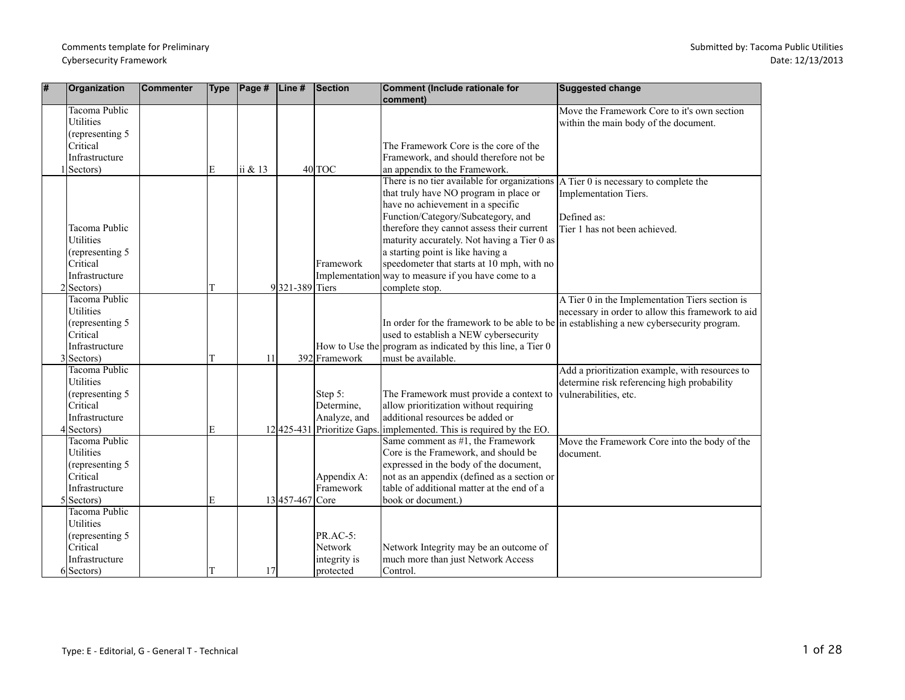| #  | Organization         | <b>Commenter</b> | Type | $\vert$ Page # $\vert$ Line # |                 | Section                     | Comment (Include rationale for<br>comment)                   | Suggested change                                                                            |
|----|----------------------|------------------|------|-------------------------------|-----------------|-----------------------------|--------------------------------------------------------------|---------------------------------------------------------------------------------------------|
|    | Tacoma Public        |                  |      |                               |                 |                             |                                                              | Move the Framework Core to it's own section                                                 |
|    | <b>Utilities</b>     |                  |      |                               |                 |                             |                                                              | within the main body of the document.                                                       |
|    | (representing 5)     |                  |      |                               |                 |                             |                                                              |                                                                                             |
|    | Critical             |                  |      |                               |                 |                             | The Framework Core is the core of the                        |                                                                                             |
|    | Infrastructure       |                  |      |                               |                 |                             | Framework, and should therefore not be                       |                                                                                             |
|    | Sectors)             |                  | E    | ii & 13                       |                 | $40$ TOC                    | an appendix to the Framework.                                |                                                                                             |
|    |                      |                  |      |                               |                 |                             | There is no tier available for organizations                 | A Tier 0 is necessary to complete the                                                       |
|    |                      |                  |      |                               |                 |                             | that truly have NO program in place or                       | Implementation Tiers.                                                                       |
|    |                      |                  |      |                               |                 |                             | have no achievement in a specific                            |                                                                                             |
|    |                      |                  |      |                               |                 |                             | Function/Category/Subcategory, and                           | Defined as:                                                                                 |
|    | Tacoma Public        |                  |      |                               |                 |                             | therefore they cannot assess their current                   | Tier 1 has not been achieved.                                                               |
|    | <b>Utilities</b>     |                  |      |                               |                 |                             | maturity accurately. Not having a Tier 0 as                  |                                                                                             |
|    | (representing 5)     |                  |      |                               |                 |                             | a starting point is like having a                            |                                                                                             |
|    | Critical             |                  |      |                               |                 | Framework                   | speedometer that starts at 10 mph, with no                   |                                                                                             |
|    | Infrastructure       |                  |      |                               |                 |                             | Implementation way to measure if you have come to a          |                                                                                             |
|    | $2 Sectors\rangle$   |                  | Т    |                               | 9321-389 Tiers  |                             | complete stop.                                               |                                                                                             |
|    | Tacoma Public        |                  |      |                               |                 |                             |                                                              | A Tier 0 in the Implementation Tiers section is                                             |
|    | <b>Utilities</b>     |                  |      |                               |                 |                             |                                                              | necessary in order to allow this framework to aid                                           |
|    | (representing 5)     |                  |      |                               |                 |                             |                                                              | In order for the framework to be able to be $\ln$ establishing a new cybersecurity program. |
|    | Critical             |                  |      |                               |                 |                             | used to establish a NEW cybersecurity                        |                                                                                             |
|    | Infrastructure       |                  |      |                               |                 |                             | How to Use the program as indicated by this line, a Tier $0$ |                                                                                             |
| 31 | Sectors)             |                  | T    | 11                            |                 | 392 Framework               | must be available.                                           |                                                                                             |
|    | <b>Tacoma Public</b> |                  |      |                               |                 |                             |                                                              | Add a prioritization example, with resources to                                             |
|    | <b>Utilities</b>     |                  |      |                               |                 |                             |                                                              | determine risk referencing high probability                                                 |
|    | (representing 5)     |                  |      |                               |                 | Step 5:                     | The Framework must provide a context to                      | vulnerabilities, etc.                                                                       |
|    | Critical             |                  |      |                               |                 | Determine.                  | allow prioritization without requiring                       |                                                                                             |
|    | Infrastructure       |                  |      |                               |                 | Analyze, and                | additional resources be added or                             |                                                                                             |
| Δ  | Sectors)             |                  | Е    |                               |                 | 12 425-431 Prioritize Gaps. | implemented. This is required by the EO.                     |                                                                                             |
|    | <b>Tacoma Public</b> |                  |      |                               |                 |                             | Same comment as $#1$ , the Framework                         | Move the Framework Core into the body of the                                                |
|    | Utilities            |                  |      |                               |                 |                             | Core is the Framework, and should be                         | document.                                                                                   |
|    | (representing 5      |                  |      |                               |                 |                             | expressed in the body of the document,                       |                                                                                             |
|    | Critical             |                  |      |                               |                 | Appendix A:                 | not as an appendix (defined as a section or                  |                                                                                             |
|    | Infrastructure       |                  |      |                               |                 | Framework                   | table of additional matter at the end of a                   |                                                                                             |
|    | $5 Sectors\rangle$   |                  | E    |                               | 13 457-467 Core |                             | book or document.)                                           |                                                                                             |
|    | Tacoma Public        |                  |      |                               |                 |                             |                                                              |                                                                                             |
|    | <b>Utilities</b>     |                  |      |                               |                 |                             |                                                              |                                                                                             |
|    | (representing 5      |                  |      |                               |                 | $PR.AC-5$ :                 |                                                              |                                                                                             |
|    | Critical             |                  |      |                               |                 | Network                     | Network Integrity may be an outcome of                       |                                                                                             |
|    | Infrastructure       |                  |      |                               |                 | integrity is                | much more than just Network Access                           |                                                                                             |
|    | $6 Sectors\rangle$   |                  | Т    | 17                            |                 | protected                   | Control.                                                     |                                                                                             |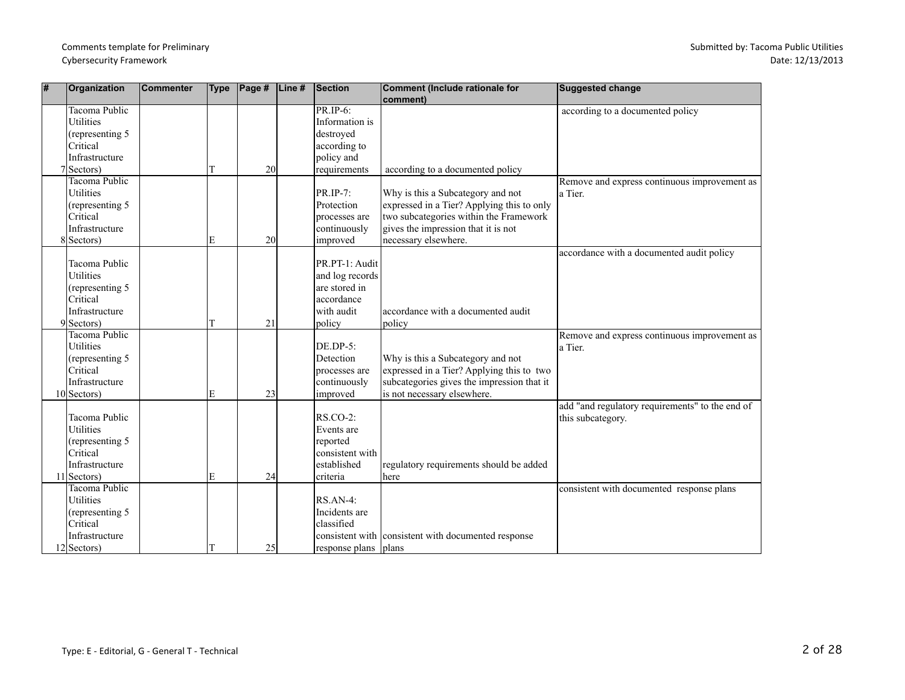| # | Organization         | <b>Commenter</b> | <b>Type</b> | $\vert$ Page# | Line# | <b>Section</b>       | Comment (Include rationale for                      | <b>Suggested change</b>                         |
|---|----------------------|------------------|-------------|---------------|-------|----------------------|-----------------------------------------------------|-------------------------------------------------|
|   |                      |                  |             |               |       |                      | comment)                                            |                                                 |
|   | Tacoma Public        |                  |             |               |       | PR.IP-6:             |                                                     | according to a documented policy                |
|   | <b>Utilities</b>     |                  |             |               |       | Information is       |                                                     |                                                 |
|   | (representing 5      |                  |             |               |       | destroyed            |                                                     |                                                 |
|   | Critical             |                  |             |               |       | according to         |                                                     |                                                 |
|   | Infrastructure       |                  |             |               |       | policy and           |                                                     |                                                 |
|   | $7 Sectors\rangle$   |                  | T           | 20            |       | requirements         | according to a documented policy                    |                                                 |
|   | <b>Tacoma Public</b> |                  |             |               |       |                      |                                                     | Remove and express continuous improvement as    |
|   | <b>Utilities</b>     |                  |             |               |       | PR.IP-7:             | Why is this a Subcategory and not                   | a Tier.                                         |
|   | (representing 5      |                  |             |               |       | Protection           | expressed in a Tier? Applying this to only          |                                                 |
|   | Critical             |                  |             |               |       | processes are        | two subcategories within the Framework              |                                                 |
|   | Infrastructure       |                  |             |               |       | continuously         | gives the impression that it is not                 |                                                 |
|   | 8 Sectors)           |                  | E           | 20            |       | improved             | necessary elsewhere.                                |                                                 |
|   |                      |                  |             |               |       |                      |                                                     | accordance with a documented audit policy       |
|   | Tacoma Public        |                  |             |               |       | PR.PT-1: Audit       |                                                     |                                                 |
|   | <b>Utilities</b>     |                  |             |               |       | and log records      |                                                     |                                                 |
|   | (representing 5      |                  |             |               |       | are stored in        |                                                     |                                                 |
|   | Critical             |                  |             |               |       | accordance           |                                                     |                                                 |
|   | Infrastructure       |                  |             |               |       | with audit           | accordance with a documented audit                  |                                                 |
|   | $9$ Sectors)         |                  | T           | 21            |       | policy               | policy                                              |                                                 |
|   | Tacoma Public        |                  |             |               |       |                      |                                                     | Remove and express continuous improvement as    |
|   | <b>Utilities</b>     |                  |             |               |       | $DE.DP-5:$           |                                                     | a Tier.                                         |
|   | (representing 5      |                  |             |               |       | Detection            | Why is this a Subcategory and not                   |                                                 |
|   | Critical             |                  |             |               |       | processes are        | expressed in a Tier? Applying this to two           |                                                 |
|   | Infrastructure       |                  |             |               |       | continuously         | subcategories gives the impression that it          |                                                 |
|   | $10$ Sectors)        |                  | E           | 23            |       | improved             | is not necessary elsewhere.                         |                                                 |
|   |                      |                  |             |               |       |                      |                                                     | add "and regulatory requirements" to the end of |
|   | Tacoma Public        |                  |             |               |       | $RS$ .CO-2:          |                                                     | this subcategory.                               |
|   | <b>Utilities</b>     |                  |             |               |       | Events are           |                                                     |                                                 |
|   | (representing 5      |                  |             |               |       | reported             |                                                     |                                                 |
|   | Critical             |                  |             |               |       | consistent with      |                                                     |                                                 |
|   | Infrastructure       |                  |             |               |       | established          | regulatory requirements should be added             |                                                 |
|   | $11$ Sectors)        |                  | E           | 24            |       | criteria             | here                                                |                                                 |
|   | <b>Tacoma Public</b> |                  |             |               |       |                      |                                                     | consistent with documented response plans       |
|   | <b>Utilities</b>     |                  |             |               |       | RS.AN-4:             |                                                     |                                                 |
|   | (representing 5)     |                  |             |               |       | Incidents are        |                                                     |                                                 |
|   | Critical             |                  |             |               |       | classified           |                                                     |                                                 |
|   | Infrastructure       |                  |             |               |       |                      | consistent with consistent with documented response |                                                 |
|   | $12$ Sectors)        |                  |             | 25            |       | response plans plans |                                                     |                                                 |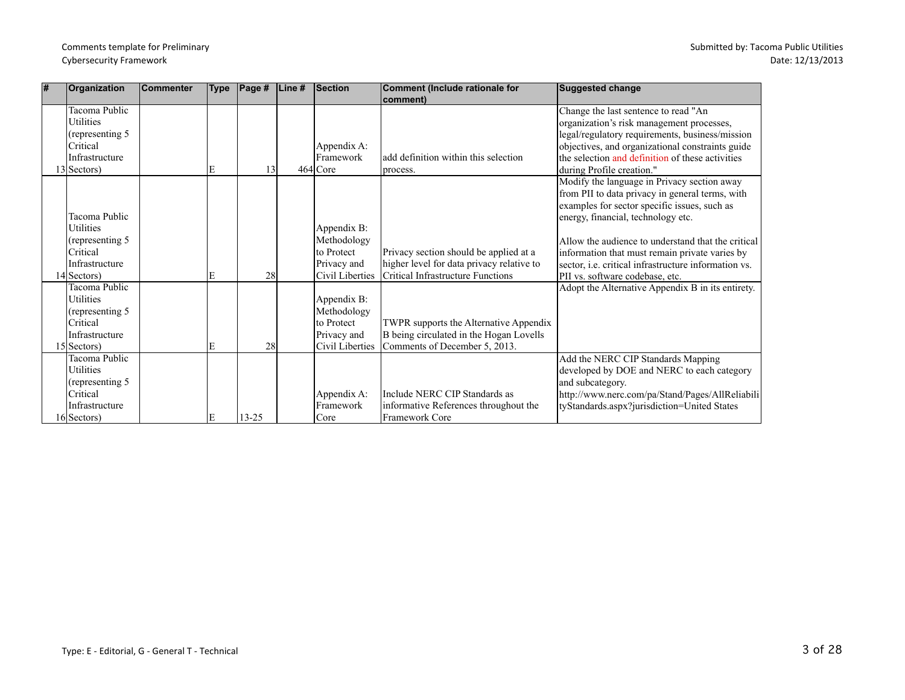| l# | Organization                                                                                                                                  | <b>Commenter</b> | <b>Type</b> | $\vert$ Page # | Line $#$ | Section                                                                                               | Comment (Include rationale for                                                                                                       | <b>Suggested change</b>                                                                                                                                                                                                                                                                                                                                                                                                                                                          |
|----|-----------------------------------------------------------------------------------------------------------------------------------------------|------------------|-------------|----------------|----------|-------------------------------------------------------------------------------------------------------|--------------------------------------------------------------------------------------------------------------------------------------|----------------------------------------------------------------------------------------------------------------------------------------------------------------------------------------------------------------------------------------------------------------------------------------------------------------------------------------------------------------------------------------------------------------------------------------------------------------------------------|
|    | Tacoma Public<br><b>Utilities</b><br>(representing 5)<br>lCritical                                                                            |                  |             |                |          | Appendix A:                                                                                           | comment)                                                                                                                             | Change the last sentence to read "An<br>organization's risk management processes,<br>legal/regulatory requirements, business/mission<br>objectives, and organizational constraints guide                                                                                                                                                                                                                                                                                         |
|    | Infrastructure                                                                                                                                |                  |             |                |          | Framework                                                                                             | add definition within this selection                                                                                                 | the selection and definition of these activities                                                                                                                                                                                                                                                                                                                                                                                                                                 |
|    | $13$ Sectors)<br>Tacoma Public<br>Utilities<br>(representing 5)<br>lCritical<br>Infrastructure<br>$14$ Sectors)<br>Tacoma Public<br>Utilities |                  | E<br>E      | 13<br>28       |          | 464 Core<br>Appendix B:<br>Methodology<br>to Protect<br>Privacy and<br>Civil Liberties<br>Appendix B: | process.<br>Privacy section should be applied at a<br>higher level for data privacy relative to<br>Critical Infrastructure Functions | during Profile creation."<br>Modify the language in Privacy section away<br>from PII to data privacy in general terms, with<br>examples for sector specific issues, such as<br>energy, financial, technology etc.<br>Allow the audience to understand that the critical<br>information that must remain private varies by<br>sector, <i>i.e.</i> critical infrastructure information vs.<br>PII vs. software codebase, etc.<br>Adopt the Alternative Appendix B in its entirety. |
|    | (representing 5)<br><b>Critical</b><br>Infrastructure<br>15 Sectors)                                                                          |                  | E           | 28             |          | Methodology<br>to Protect<br>Privacy and<br>Civil Liberties                                           | TWPR supports the Alternative Appendix<br>B being circulated in the Hogan Lovells<br>Comments of December 5, 2013.                   |                                                                                                                                                                                                                                                                                                                                                                                                                                                                                  |
|    | Tacoma Public<br>Utilities<br>(representing 5)<br><b>Critical</b><br>Infrastructure<br>16 Sectors)                                            |                  | E           | $13 - 25$      |          | Appendix A:<br>Framework<br>Core                                                                      | Include NERC CIP Standards as<br>informative References throughout the<br>Framework Core                                             | Add the NERC CIP Standards Mapping<br>developed by DOE and NERC to each category<br>and subcategory.<br>http://www.nerc.com/pa/Stand/Pages/AllReliabili<br>tyStandards.aspx?jurisdiction=United States                                                                                                                                                                                                                                                                           |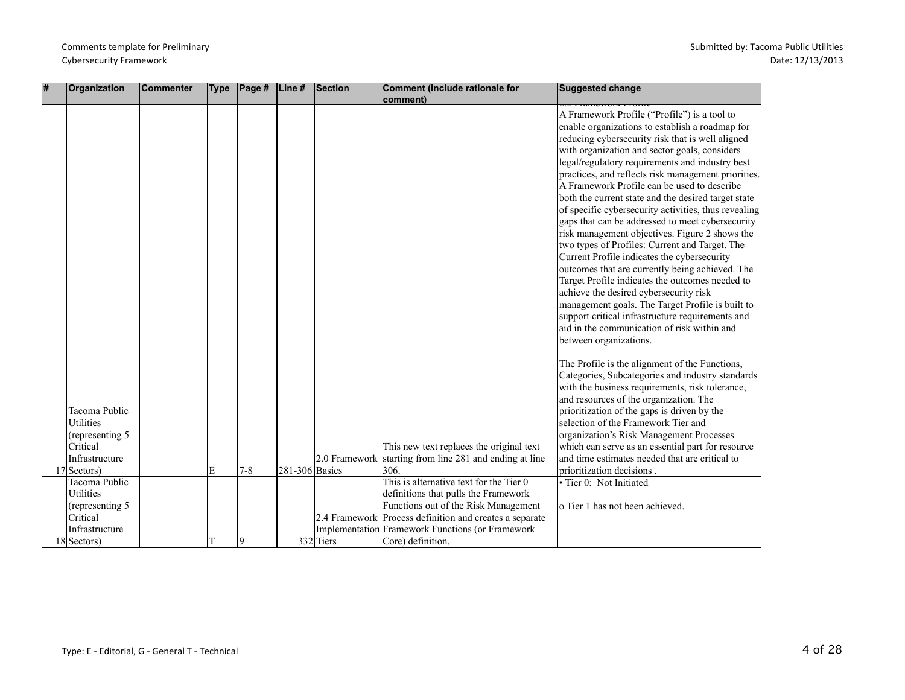| # | Organization                                                                       | <b>Commenter</b> | <b>Type</b> | $\vert$ Page # $\vert$ Line # |                | Section   | <b>Comment (Include rationale for</b><br>comment)                                                   | <b>Suggested change</b>                                                                                                                                                                                                                                                                                                                                                                                                                                                                                                                                                                                                                                                                                                                                                                                                                                                                                                                                                                                              |
|---|------------------------------------------------------------------------------------|------------------|-------------|-------------------------------|----------------|-----------|-----------------------------------------------------------------------------------------------------|----------------------------------------------------------------------------------------------------------------------------------------------------------------------------------------------------------------------------------------------------------------------------------------------------------------------------------------------------------------------------------------------------------------------------------------------------------------------------------------------------------------------------------------------------------------------------------------------------------------------------------------------------------------------------------------------------------------------------------------------------------------------------------------------------------------------------------------------------------------------------------------------------------------------------------------------------------------------------------------------------------------------|
|   |                                                                                    |                  |             |                               |                |           |                                                                                                     | A Framework Profile ("Profile") is a tool to<br>enable organizations to establish a roadmap for<br>reducing cybersecurity risk that is well aligned<br>with organization and sector goals, considers<br>legal/regulatory requirements and industry best<br>practices, and reflects risk management priorities.<br>A Framework Profile can be used to describe<br>both the current state and the desired target state<br>of specific cybersecurity activities, thus revealing<br>gaps that can be addressed to meet cybersecurity<br>risk management objectives. Figure 2 shows the<br>two types of Profiles: Current and Target. The<br>Current Profile indicates the cybersecurity<br>outcomes that are currently being achieved. The<br>Target Profile indicates the outcomes needed to<br>achieve the desired cybersecurity risk<br>management goals. The Target Profile is built to<br>support critical infrastructure requirements and<br>aid in the communication of risk within and<br>between organizations. |
|   | Tacoma Public<br><b>Utilities</b><br>(representing 5<br>Critical<br>Infrastructure |                  |             |                               |                |           | This new text replaces the original text<br>2.0 Framework starting from line 281 and ending at line | The Profile is the alignment of the Functions,<br>Categories, Subcategories and industry standards<br>with the business requirements, risk tolerance,<br>and resources of the organization. The<br>prioritization of the gaps is driven by the<br>selection of the Framework Tier and<br>organization's Risk Management Processes<br>which can serve as an essential part for resource<br>and time estimates needed that are critical to                                                                                                                                                                                                                                                                                                                                                                                                                                                                                                                                                                             |
|   | 17 Sectors)                                                                        |                  | E           | $7-8$                         | 281-306 Basics |           | 306.                                                                                                | prioritization decisions.                                                                                                                                                                                                                                                                                                                                                                                                                                                                                                                                                                                                                                                                                                                                                                                                                                                                                                                                                                                            |
|   | Tacoma Public<br><b>Utilities</b>                                                  |                  |             |                               |                |           | This is alternative text for the Tier 0<br>definitions that pulls the Framework                     | · Tier 0: Not Initiated                                                                                                                                                                                                                                                                                                                                                                                                                                                                                                                                                                                                                                                                                                                                                                                                                                                                                                                                                                                              |
|   | (representing 5)                                                                   |                  |             |                               |                |           | Functions out of the Risk Management                                                                | o Tier 1 has not been achieved.                                                                                                                                                                                                                                                                                                                                                                                                                                                                                                                                                                                                                                                                                                                                                                                                                                                                                                                                                                                      |
|   | Critical                                                                           |                  |             |                               |                |           | 2.4 Framework Process definition and creates a separate                                             |                                                                                                                                                                                                                                                                                                                                                                                                                                                                                                                                                                                                                                                                                                                                                                                                                                                                                                                                                                                                                      |
|   | Infrastructure                                                                     |                  |             |                               |                |           | Implementation Framework Functions (or Framework                                                    |                                                                                                                                                                                                                                                                                                                                                                                                                                                                                                                                                                                                                                                                                                                                                                                                                                                                                                                                                                                                                      |
|   | $18$ Sectors)                                                                      |                  |             | l Q                           |                | 332 Tiers | Core) definition.                                                                                   |                                                                                                                                                                                                                                                                                                                                                                                                                                                                                                                                                                                                                                                                                                                                                                                                                                                                                                                                                                                                                      |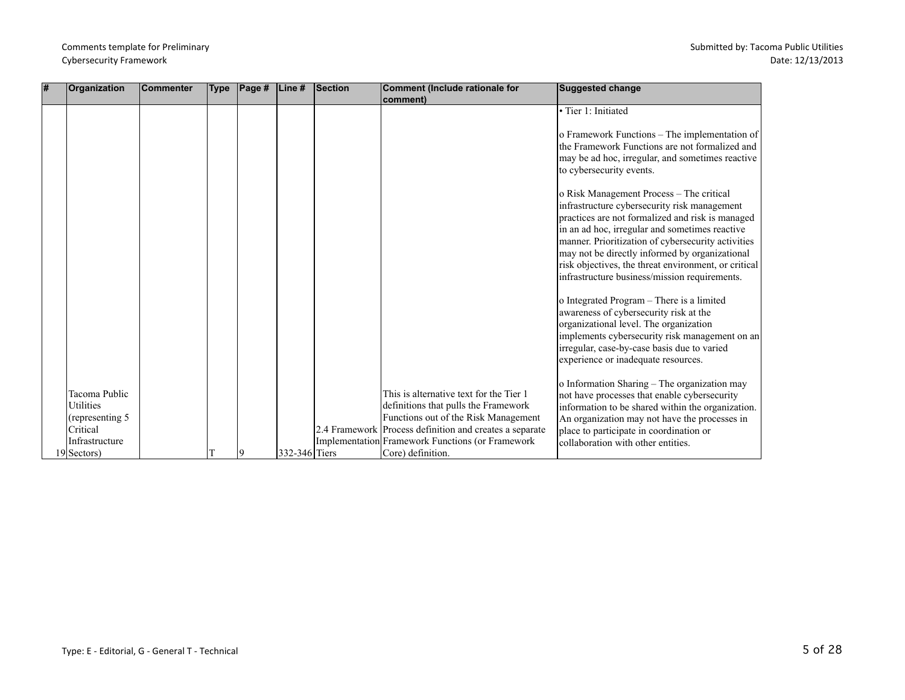| l# | Organization              | Commenter | <b>Type</b> | $\vert$ Page # | Line#         | Section | Comment (Include rationale for                          | <b>Suggested change</b>                              |
|----|---------------------------|-----------|-------------|----------------|---------------|---------|---------------------------------------------------------|------------------------------------------------------|
|    |                           |           |             |                |               |         | comment)                                                |                                                      |
|    |                           |           |             |                |               |         |                                                         | · Tier 1: Initiated                                  |
|    |                           |           |             |                |               |         |                                                         |                                                      |
|    |                           |           |             |                |               |         |                                                         | o Framework Functions - The implementation of        |
|    |                           |           |             |                |               |         |                                                         | the Framework Functions are not formalized and       |
|    |                           |           |             |                |               |         |                                                         | may be ad hoc, irregular, and sometimes reactive     |
|    |                           |           |             |                |               |         |                                                         | to cybersecurity events.                             |
|    |                           |           |             |                |               |         |                                                         |                                                      |
|    |                           |           |             |                |               |         |                                                         | o Risk Management Process - The critical             |
|    |                           |           |             |                |               |         |                                                         | infrastructure cybersecurity risk management         |
|    |                           |           |             |                |               |         |                                                         | practices are not formalized and risk is managed     |
|    |                           |           |             |                |               |         |                                                         | in an ad hoc, irregular and sometimes reactive       |
|    |                           |           |             |                |               |         |                                                         | manner. Prioritization of cybersecurity activities   |
|    |                           |           |             |                |               |         |                                                         | may not be directly informed by organizational       |
|    |                           |           |             |                |               |         |                                                         | risk objectives, the threat environment, or critical |
|    |                           |           |             |                |               |         |                                                         | infrastructure business/mission requirements.        |
|    |                           |           |             |                |               |         |                                                         |                                                      |
|    |                           |           |             |                |               |         |                                                         | o Integrated Program - There is a limited            |
|    |                           |           |             |                |               |         |                                                         | awareness of cybersecurity risk at the               |
|    |                           |           |             |                |               |         |                                                         | organizational level. The organization               |
|    |                           |           |             |                |               |         |                                                         | implements cybersecurity risk management on an       |
|    |                           |           |             |                |               |         |                                                         | irregular, case-by-case basis due to varied          |
|    |                           |           |             |                |               |         |                                                         | experience or inadequate resources.                  |
|    |                           |           |             |                |               |         |                                                         |                                                      |
|    |                           |           |             |                |               |         |                                                         | o Information Sharing - The organization may         |
|    | lTacoma Public            |           |             |                |               |         | This is alternative text for the Tier 1                 | not have processes that enable cybersecurity         |
|    | <b>Utilities</b>          |           |             |                |               |         | definitions that pulls the Framework                    | information to be shared within the organization.    |
|    | $\alpha$ (representing 5) |           |             |                |               |         | Functions out of the Risk Management                    | An organization may not have the processes in        |
|    | lCritical                 |           |             |                |               |         | 2.4 Framework Process definition and creates a separate | place to participate in coordination or              |
|    | Infrastructure            |           |             |                |               |         | Implementation Framework Functions (or Framework        | collaboration with other entities.                   |
|    | 19 Sectors)               |           |             | 9              | 332-346 Tiers |         | Core) definition.                                       |                                                      |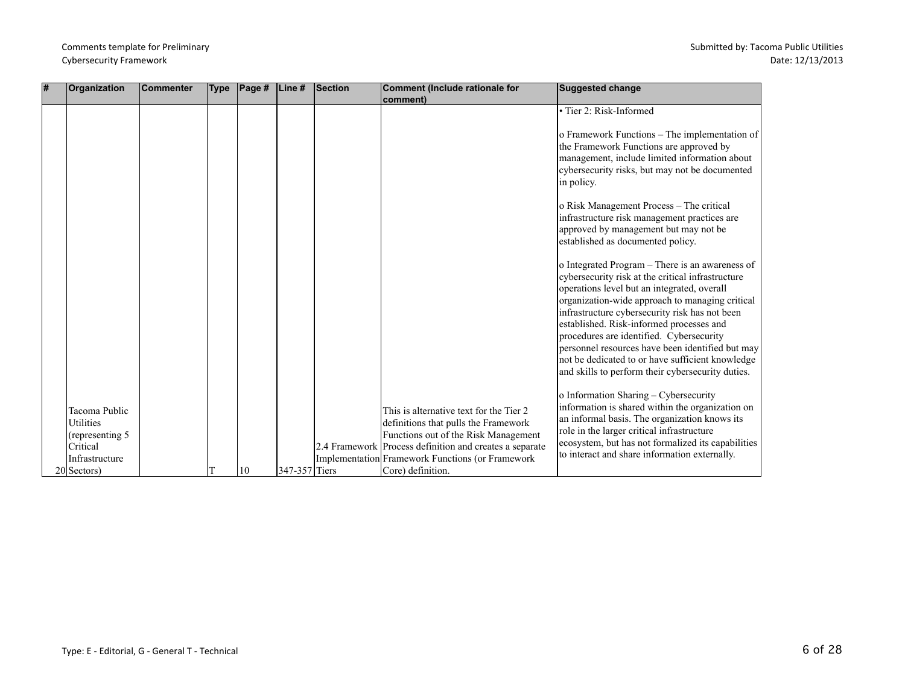| l# | Organization                                                                                              | <b>Commenter</b> | <b>Type</b> | $\sf Page~#$ | $\mathsf{Line}\,\texttt{\#}$ | Section | Comment (Include rationale for<br>comment)                                                                                                                                                                                                                  | <b>Suggested change</b>                                                                                                                                                                                                                                                                                                                                                                                                                                                                                       |
|----|-----------------------------------------------------------------------------------------------------------|------------------|-------------|--------------|------------------------------|---------|-------------------------------------------------------------------------------------------------------------------------------------------------------------------------------------------------------------------------------------------------------------|---------------------------------------------------------------------------------------------------------------------------------------------------------------------------------------------------------------------------------------------------------------------------------------------------------------------------------------------------------------------------------------------------------------------------------------------------------------------------------------------------------------|
|    |                                                                                                           |                  |             |              |                              |         |                                                                                                                                                                                                                                                             | • Tier 2: Risk-Informed                                                                                                                                                                                                                                                                                                                                                                                                                                                                                       |
|    |                                                                                                           |                  |             |              |                              |         |                                                                                                                                                                                                                                                             | o Framework Functions – The implementation of<br>the Framework Functions are approved by<br>management, include limited information about<br>cybersecurity risks, but may not be documented<br>in policy.                                                                                                                                                                                                                                                                                                     |
|    |                                                                                                           |                  |             |              |                              |         |                                                                                                                                                                                                                                                             | o Risk Management Process – The critical<br>infrastructure risk management practices are<br>approved by management but may not be<br>established as documented policy.                                                                                                                                                                                                                                                                                                                                        |
|    |                                                                                                           |                  |             |              |                              |         |                                                                                                                                                                                                                                                             | o Integrated Program – There is an awareness of<br>cybersecurity risk at the critical infrastructure<br>operations level but an integrated, overall<br>organization-wide approach to managing critical<br>infrastructure cybersecurity risk has not been<br>established. Risk-informed processes and<br>procedures are identified. Cybersecurity<br>personnel resources have been identified but may<br>not be dedicated to or have sufficient knowledge<br>and skills to perform their cybersecurity duties. |
|    | Tacoma Public<br><b>Utilities</b><br>(representing 5<br>Critical<br>Infrastructure<br>$20 Sectors\rangle$ |                  |             | 10           | 347-357 Tiers                |         | This is alternative text for the Tier 2<br>definitions that pulls the Framework<br>Functions out of the Risk Management<br>2.4 Framework Process definition and creates a separate<br>Implementation Framework Functions (or Framework<br>Core) definition. | o Information Sharing - Cybersecurity<br>information is shared within the organization on<br>an informal basis. The organization knows its<br>role in the larger critical infrastructure<br>ecosystem, but has not formalized its capabilities<br>to interact and share information externally.                                                                                                                                                                                                               |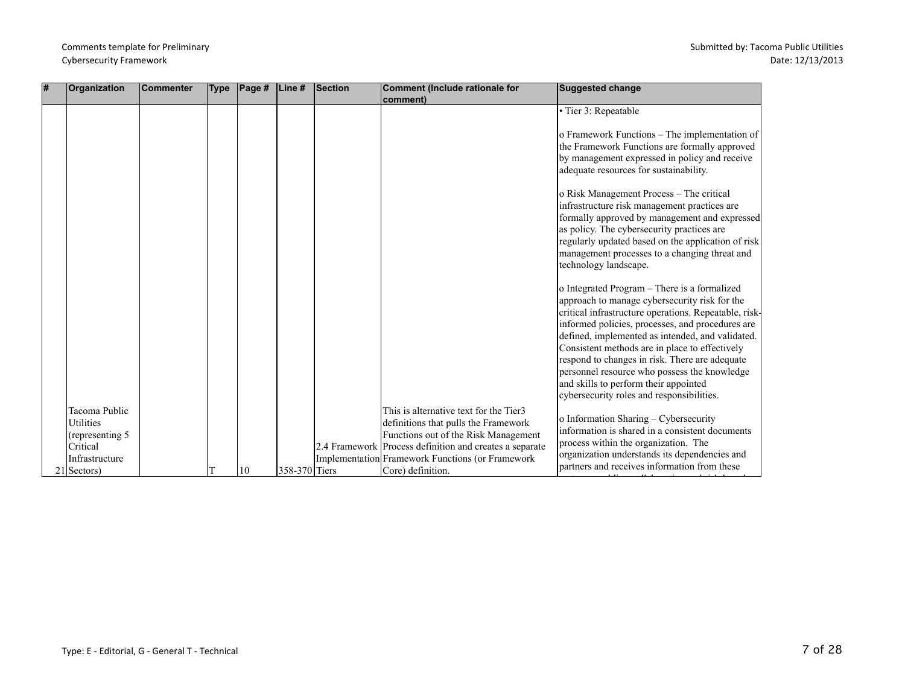| <b>#</b> | Organization                                                                                         | <b>Commenter</b> | <b>Type</b> | Page # | Line#         | Section | Comment (Include rationale for<br>comment)                                                                                                                                                                                                                 | Suggested change                                                                                                                                                                                                                                                                                                                                                                                                                                                                                         |
|----------|------------------------------------------------------------------------------------------------------|------------------|-------------|--------|---------------|---------|------------------------------------------------------------------------------------------------------------------------------------------------------------------------------------------------------------------------------------------------------------|----------------------------------------------------------------------------------------------------------------------------------------------------------------------------------------------------------------------------------------------------------------------------------------------------------------------------------------------------------------------------------------------------------------------------------------------------------------------------------------------------------|
|          |                                                                                                      |                  |             |        |               |         |                                                                                                                                                                                                                                                            | · Tier 3: Repeatable                                                                                                                                                                                                                                                                                                                                                                                                                                                                                     |
|          |                                                                                                      |                  |             |        |               |         |                                                                                                                                                                                                                                                            | o Framework Functions – The implementation of<br>the Framework Functions are formally approved<br>by management expressed in policy and receive<br>adequate resources for sustainability.                                                                                                                                                                                                                                                                                                                |
|          |                                                                                                      |                  |             |        |               |         |                                                                                                                                                                                                                                                            | o Risk Management Process – The critical<br>infrastructure risk management practices are<br>formally approved by management and expressed<br>as policy. The cybersecurity practices are<br>regularly updated based on the application of risk<br>management processes to a changing threat and<br>technology landscape.                                                                                                                                                                                  |
|          |                                                                                                      |                  |             |        |               |         |                                                                                                                                                                                                                                                            | o Integrated Program - There is a formalized<br>approach to manage cybersecurity risk for the<br>critical infrastructure operations. Repeatable, risk-<br>informed policies, processes, and procedures are<br>defined, implemented as intended, and validated.<br>Consistent methods are in place to effectively<br>respond to changes in risk. There are adequate<br>personnel resource who possess the knowledge<br>and skills to perform their appointed<br>cybersecurity roles and responsibilities. |
|          | Tacoma Public<br><b>Utilities</b><br>(representing 5)<br>Critical<br>Infrastructure<br>$21$ Sectors) |                  |             | 10     | 358-370 Tiers |         | This is alternative text for the Tier3<br>definitions that pulls the Framework<br>Functions out of the Risk Management<br>2.4 Framework Process definition and creates a separate<br>Implementation Framework Functions (or Framework<br>Core) definition. | o Information Sharing - Cybersecurity<br>information is shared in a consistent documents<br>process within the organization. The<br>organization understands its dependencies and<br>partners and receives information from these                                                                                                                                                                                                                                                                        |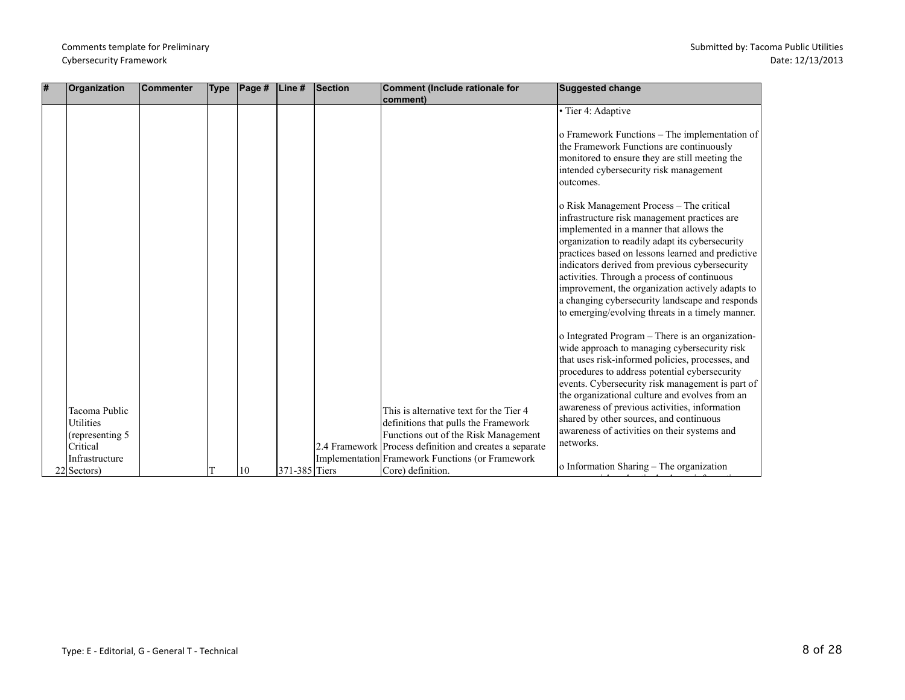| l# | Organization                          | <b>Commenter</b> | <b>Type</b> | $\vert$ Page # | Line#         | <b>Section</b> | Comment (Include rationale for<br>comment)                                      | <b>Suggested change</b>                                                                                                                                                                                                                                                                                                                                                                                                                                                                                 |
|----|---------------------------------------|------------------|-------------|----------------|---------------|----------------|---------------------------------------------------------------------------------|---------------------------------------------------------------------------------------------------------------------------------------------------------------------------------------------------------------------------------------------------------------------------------------------------------------------------------------------------------------------------------------------------------------------------------------------------------------------------------------------------------|
|    |                                       |                  |             |                |               |                |                                                                                 | • Tier 4: Adaptive                                                                                                                                                                                                                                                                                                                                                                                                                                                                                      |
|    |                                       |                  |             |                |               |                |                                                                                 | o Framework Functions – The implementation of<br>the Framework Functions are continuously<br>monitored to ensure they are still meeting the<br>intended cybersecurity risk management<br>loutcomes.                                                                                                                                                                                                                                                                                                     |
|    |                                       |                  |             |                |               |                |                                                                                 | o Risk Management Process - The critical<br>infrastructure risk management practices are<br>implemented in a manner that allows the<br>organization to readily adapt its cybersecurity<br>practices based on lessons learned and predictive<br>indicators derived from previous cybersecurity<br>activities. Through a process of continuous<br>improvement, the organization actively adapts to<br>a changing cybersecurity landscape and responds<br>to emerging/evolving threats in a timely manner. |
|    | Tacoma Public<br><b>Utilities</b>     |                  |             |                |               |                | This is alternative text for the Tier 4<br>definitions that pulls the Framework | o Integrated Program - There is an organization-<br>wide approach to managing cybersecurity risk<br>that uses risk-informed policies, processes, and<br>procedures to address potential cybersecurity<br>events. Cybersecurity risk management is part of<br>the organizational culture and evolves from an<br>awareness of previous activities, information<br>shared by other sources, and continuous                                                                                                 |
|    | (representing 5)                      |                  |             |                |               |                | Functions out of the Risk Management                                            | awareness of activities on their systems and                                                                                                                                                                                                                                                                                                                                                                                                                                                            |
|    | Critical                              |                  |             |                |               |                | 2.4 Framework Process definition and creates a separate                         | networks.                                                                                                                                                                                                                                                                                                                                                                                                                                                                                               |
|    | Infrastructure<br>$22 Sectors\rangle$ |                  |             | 10             | 371-385 Tiers |                | Implementation Framework Functions (or Framework<br>Core) definition.           | o Information Sharing - The organization                                                                                                                                                                                                                                                                                                                                                                                                                                                                |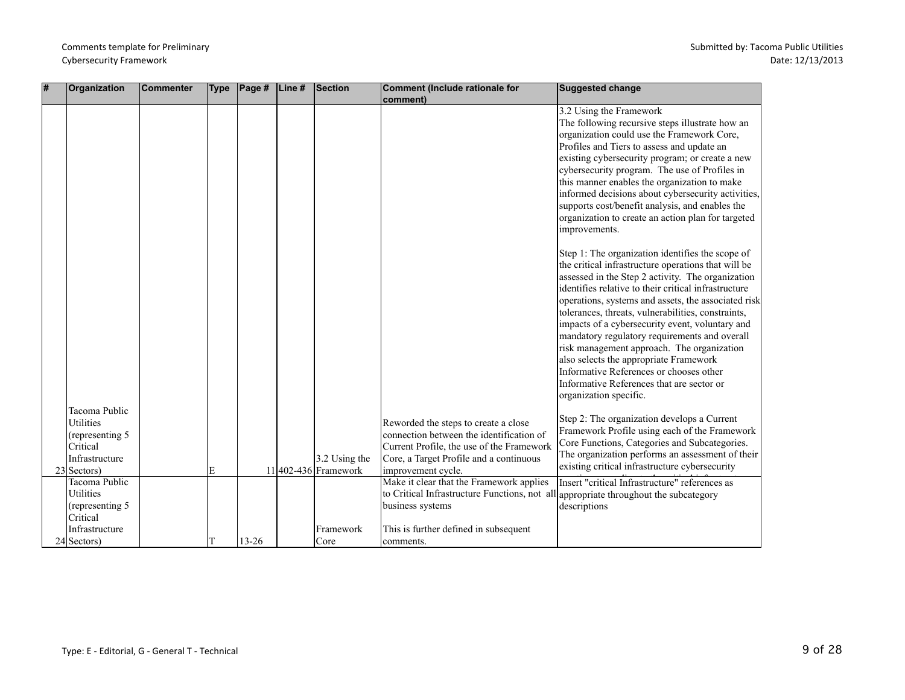| l# | Organization                                                                                        | <b>Commenter</b> | <b>Type</b> | $\vert$ Page # $\vert$ Line # | Section                                 | Comment (Include rationale for<br>comment)                                                                                                                                                     | <b>Suggested change</b>                                                                                                                                                                                                                                                                                                                                                                                                                                                                                                                                                                                                                         |
|----|-----------------------------------------------------------------------------------------------------|------------------|-------------|-------------------------------|-----------------------------------------|------------------------------------------------------------------------------------------------------------------------------------------------------------------------------------------------|-------------------------------------------------------------------------------------------------------------------------------------------------------------------------------------------------------------------------------------------------------------------------------------------------------------------------------------------------------------------------------------------------------------------------------------------------------------------------------------------------------------------------------------------------------------------------------------------------------------------------------------------------|
|    |                                                                                                     |                  |             |                               |                                         |                                                                                                                                                                                                | 3.2 Using the Framework<br>The following recursive steps illustrate how an<br>organization could use the Framework Core,<br>Profiles and Tiers to assess and update an<br>existing cybersecurity program; or create a new<br>cybersecurity program. The use of Profiles in<br>this manner enables the organization to make<br>informed decisions about cybersecurity activities,<br>supports cost/benefit analysis, and enables the<br>organization to create an action plan for targeted<br>improvements.                                                                                                                                      |
|    |                                                                                                     |                  |             |                               |                                         |                                                                                                                                                                                                | Step 1: The organization identifies the scope of<br>the critical infrastructure operations that will be<br>assessed in the Step 2 activity. The organization<br>identifies relative to their critical infrastructure<br>operations, systems and assets, the associated risk<br>tolerances, threats, vulnerabilities, constraints,<br>impacts of a cybersecurity event, voluntary and<br>mandatory regulatory requirements and overall<br>risk management approach. The organization<br>also selects the appropriate Framework<br>Informative References or chooses other<br>Informative References that are sector or<br>organization specific. |
|    | Tacoma Public<br><b>Utilities</b><br>(representing 5<br>Critical<br>Infrastructure<br>$23$ Sectors) |                  | E           |                               | $3.2$ Using the<br>11 402-436 Framework | Reworded the steps to create a close<br>connection between the identification of<br>Current Profile, the use of the Framework<br>Core, a Target Profile and a continuous<br>improvement cycle. | Step 2: The organization develops a Current<br>Framework Profile using each of the Framework<br>Core Functions, Categories and Subcategories.<br>The organization performs an assessment of their<br>existing critical infrastructure cybersecurity                                                                                                                                                                                                                                                                                                                                                                                             |
|    | Tacoma Public<br><b>Utilities</b><br>(representing 5<br>Critical<br>Infrastructure                  |                  |             |                               | Framework                               | Make it clear that the Framework applies<br>to Critical Infrastructure Functions, not all appropriate throughout the subcategory<br>business systems<br>This is further defined in subsequent  | Insert "critical Infrastructure" references as<br>descriptions                                                                                                                                                                                                                                                                                                                                                                                                                                                                                                                                                                                  |
|    | $24$ Sectors)                                                                                       |                  |             | $13 - 26$                     | Core                                    | comments.                                                                                                                                                                                      |                                                                                                                                                                                                                                                                                                                                                                                                                                                                                                                                                                                                                                                 |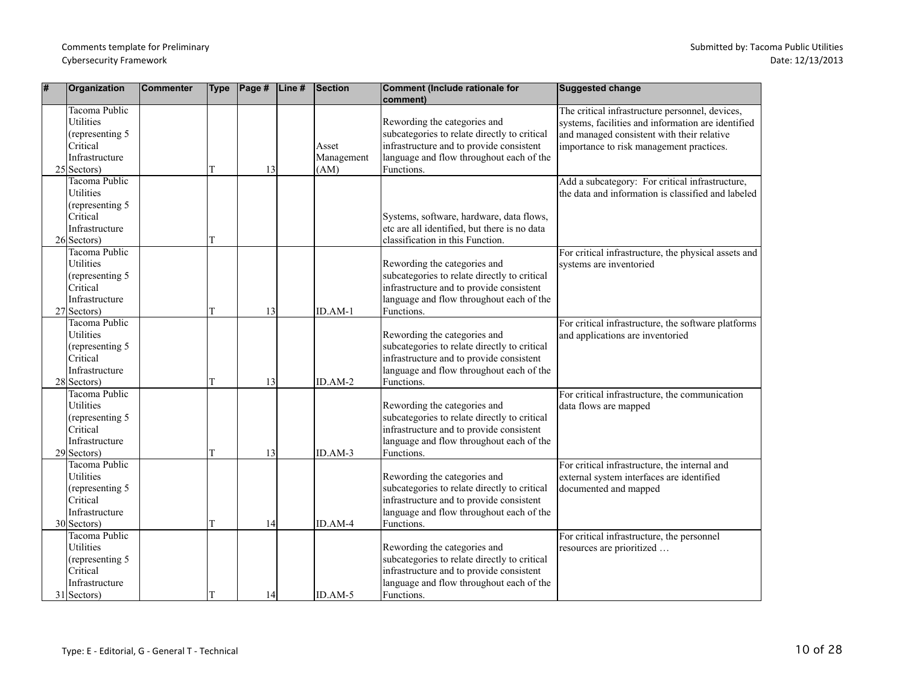| # | Organization                                                                                         | <b>Commenter</b> | <b>Type</b> | $\vert$ Page # $\vert$ Line # | <b>Section</b>              | Comment (Include rationale for<br>comment)                                                                                                                                         | <b>Suggested change</b>                                                                                                                                                                         |
|---|------------------------------------------------------------------------------------------------------|------------------|-------------|-------------------------------|-----------------------------|------------------------------------------------------------------------------------------------------------------------------------------------------------------------------------|-------------------------------------------------------------------------------------------------------------------------------------------------------------------------------------------------|
|   | <b>Tacoma Public</b><br>Utilities<br>(representing 5)<br>Critical<br>Infrastructure<br>$25$ Sectors) |                  | T           | 13                            | Asset<br>Management<br>(AM) | Rewording the categories and<br>subcategories to relate directly to critical<br>infrastructure and to provide consistent<br>language and flow throughout each of the<br>Functions. | The critical infrastructure personnel, devices,<br>systems, facilities and information are identified<br>and managed consistent with their relative<br>importance to risk management practices. |
|   | Tacoma Public<br>Utilities<br>(representing 5)<br>Critical<br>Infrastructure<br>$26$ Sectors)        |                  |             |                               |                             | Systems, software, hardware, data flows,<br>etc are all identified, but there is no data<br>classification in this Function.                                                       | Add a subcategory: For critical infrastructure,<br>the data and information is classified and labeled                                                                                           |
|   | Tacoma Public<br>Utilities<br>(representing 5)<br>Critical<br>Infrastructure<br>$27$ Sectors)        |                  | T           | 13                            | ID.AM-1                     | Rewording the categories and<br>subcategories to relate directly to critical<br>infrastructure and to provide consistent<br>language and flow throughout each of the<br>Functions. | For critical infrastructure, the physical assets and<br>systems are inventoried                                                                                                                 |
|   | Tacoma Public<br><b>Utilities</b><br>(representing 5<br>Critical<br>Infrastructure<br>$28$ Sectors)  |                  | T           | 13                            | $ID.AM-2$                   | Rewording the categories and<br>subcategories to relate directly to critical<br>infrastructure and to provide consistent<br>language and flow throughout each of the<br>Functions. | For critical infrastructure, the software platforms<br>and applications are inventoried                                                                                                         |
|   | Tacoma Public<br>Utilities<br>(representing 5)<br>Critical<br>Infrastructure<br>$29$ Sectors)        |                  | т           | 13                            | $ID. AM-3$                  | Rewording the categories and<br>subcategories to relate directly to critical<br>infrastructure and to provide consistent<br>language and flow throughout each of the<br>Functions. | For critical infrastructure, the communication<br>data flows are mapped                                                                                                                         |
|   | Tacoma Public<br>Utilities<br>(representing 5)<br>Critical<br>Infrastructure<br>30 Sectors)          |                  | T           | 14                            | ID.AM-4                     | Rewording the categories and<br>subcategories to relate directly to critical<br>infrastructure and to provide consistent<br>language and flow throughout each of the<br>Functions. | For critical infrastructure, the internal and<br>external system interfaces are identified<br>documented and mapped                                                                             |
|   | Tacoma Public<br>Utilities<br>(representing 5)<br>Critical<br>Infrastructure<br>$31$ Sectors)        |                  | IТ          | 14                            | $ID.AM-5$                   | Rewording the categories and<br>subcategories to relate directly to critical<br>infrastructure and to provide consistent<br>language and flow throughout each of the<br>Functions. | For critical infrastructure, the personnel<br>resources are prioritized                                                                                                                         |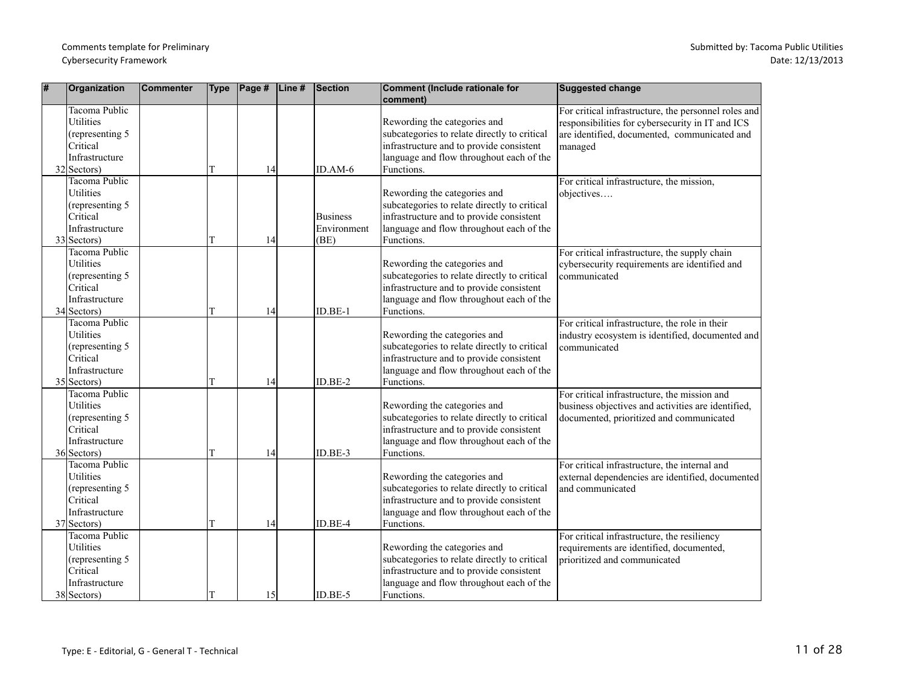| # | Organization                                                                                                | <b>Commenter</b> | <b>Type</b> | $\vert$ Page # | Line# | Section                                | Comment (Include rationale for<br>comment)                                                                                                                                         | Suggested change                                                                                                                                                    |
|---|-------------------------------------------------------------------------------------------------------------|------------------|-------------|----------------|-------|----------------------------------------|------------------------------------------------------------------------------------------------------------------------------------------------------------------------------------|---------------------------------------------------------------------------------------------------------------------------------------------------------------------|
|   | Tacoma Public<br><b>Utilities</b><br>(representing 5<br>Critical<br>Infrastructure<br>$32$ Sectors)         |                  | T           | 14             |       | $ID.AM-6$                              | Rewording the categories and<br>subcategories to relate directly to critical<br>infrastructure and to provide consistent<br>language and flow throughout each of the<br>Functions. | For critical infrastructure, the personnel roles and<br>responsibilities for cybersecurity in IT and ICS<br>are identified, documented, communicated and<br>managed |
|   | <b>Tacoma Public</b><br><b>Utilities</b><br>(representing 5)<br>Critical<br>Infrastructure<br>$33$ Sectors) |                  |             | 14             |       | <b>Business</b><br>Environment<br>(BE) | Rewording the categories and<br>subcategories to relate directly to critical<br>infrastructure and to provide consistent<br>language and flow throughout each of the<br>Functions. | For critical infrastructure, the mission,<br>objectives                                                                                                             |
|   | <b>Tacoma Public</b><br><b>Utilities</b><br>(representing 5<br>Critical<br>Infrastructure<br>$34$ Sectors)  |                  | T           | 14             |       | $ID.BE-1$                              | Rewording the categories and<br>subcategories to relate directly to critical<br>infrastructure and to provide consistent<br>language and flow throughout each of the<br>Functions. | For critical infrastructure, the supply chain<br>cybersecurity requirements are identified and<br>communicated                                                      |
|   | <b>Tacoma Public</b><br>Utilities<br>(representing 5<br>Critical<br>Infrastructure<br>$35$ Sectors)         |                  |             | 14             |       | ID.BE-2                                | Rewording the categories and<br>subcategories to relate directly to critical<br>infrastructure and to provide consistent<br>language and flow throughout each of the<br>Functions. | For critical infrastructure, the role in their<br>industry ecosystem is identified, documented and<br>communicated                                                  |
|   | <b>Tacoma Public</b><br><b>Utilities</b><br>(representing 5<br>Critical<br>Infrastructure<br>$36$ Sectors)  |                  |             | 14             |       | ID.BE-3                                | Rewording the categories and<br>subcategories to relate directly to critical<br>infrastructure and to provide consistent<br>language and flow throughout each of the<br>Functions. | For critical infrastructure, the mission and<br>business objectives and activities are identified,<br>documented, prioritized and communicated                      |
|   | Tacoma Public<br>Utilities<br>(representing 5<br>Critical<br>Infrastructure<br>$37$ Sectors)                |                  | т           | 14             |       | ID.BE-4                                | Rewording the categories and<br>subcategories to relate directly to critical<br>infrastructure and to provide consistent<br>language and flow throughout each of the<br>Functions. | For critical infrastructure, the internal and<br>external dependencies are identified, documented<br>and communicated                                               |
|   | Tacoma Public<br>Utilities<br>(representing 5<br>Critical<br>Infrastructure<br>38 Sectors)                  |                  |             | 15             |       | ID.BE-5                                | Rewording the categories and<br>subcategories to relate directly to critical<br>infrastructure and to provide consistent<br>language and flow throughout each of the<br>Functions. | For critical infrastructure, the resiliency<br>requirements are identified, documented,<br>prioritized and communicated                                             |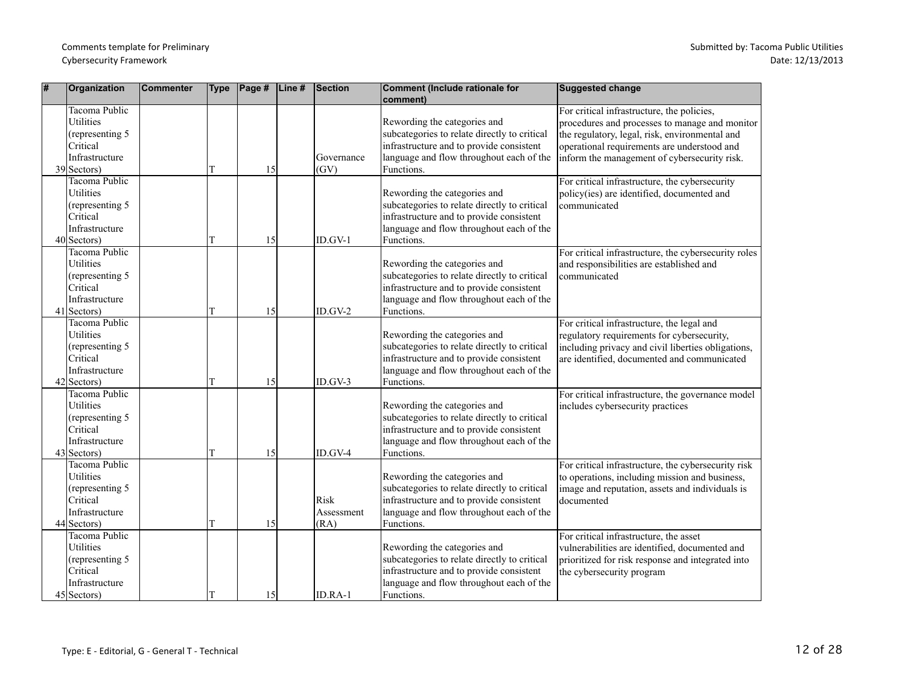| #  | Organization                                                                                         | Commenter | <b>Type</b> | $\vert$ Page # | Line# | Section                    | Comment (Include rationale for<br>comment)                                                                                                                                         | Suggested change                                                                                                                                                                                                                              |
|----|------------------------------------------------------------------------------------------------------|-----------|-------------|----------------|-------|----------------------------|------------------------------------------------------------------------------------------------------------------------------------------------------------------------------------|-----------------------------------------------------------------------------------------------------------------------------------------------------------------------------------------------------------------------------------------------|
|    | Tacoma Public<br><b>Utilities</b><br>(representing 5<br>Critical<br>Infrastructure<br>$39$ Sectors)  |           | T           | 15             |       | Governance<br>(GV)         | Rewording the categories and<br>subcategories to relate directly to critical<br>infrastructure and to provide consistent<br>language and flow throughout each of the<br>Functions. | For critical infrastructure, the policies,<br>procedures and processes to manage and monitor<br>the regulatory, legal, risk, environmental and<br>operational requirements are understood and<br>inform the management of cybersecurity risk. |
|    | Tacoma Public<br>Utilities<br>(representing 5<br>Critical<br>Infrastructure<br>$40$ Sectors)         |           | T           | 15             |       | ID.GV-1                    | Rewording the categories and<br>subcategories to relate directly to critical<br>infrastructure and to provide consistent<br>language and flow throughout each of the<br>Functions. | For critical infrastructure, the cybersecurity<br>policy(ies) are identified, documented and<br>communicated                                                                                                                                  |
| 41 | Tacoma Public<br><b>Utilities</b><br>(representing 5<br>Critical<br>Infrastructure<br>Sectors)       |           | T           | 15             |       | $ID.GV-2$                  | Rewording the categories and<br>subcategories to relate directly to critical<br>infrastructure and to provide consistent<br>language and flow throughout each of the<br>Functions. | For critical infrastructure, the cybersecurity roles<br>and responsibilities are established and<br>communicated                                                                                                                              |
|    | Tacoma Public<br><b>Utilities</b><br>(representing 5<br>Critical<br>Infrastructure<br>$42$ Sectors)  |           |             | 15             |       | ID.GV-3                    | Rewording the categories and<br>subcategories to relate directly to critical<br>infrastructure and to provide consistent<br>language and flow throughout each of the<br>Functions. | For critical infrastructure, the legal and<br>regulatory requirements for cybersecurity,<br>including privacy and civil liberties obligations,<br>are identified, documented and communicated                                                 |
|    | Tacoma Public<br>Utilities<br>(representing 5)<br>Critical<br>Infrastructure<br>$43$ Sectors)        |           |             | 15             |       | ID.GV-4                    | Rewording the categories and<br>subcategories to relate directly to critical<br>infrastructure and to provide consistent<br>language and flow throughout each of the<br>Functions. | For critical infrastructure, the governance model<br>includes cybersecurity practices                                                                                                                                                         |
|    | Tacoma Public<br>Utilities<br>(representing 5<br>Critical<br>Infrastructure<br>44 Sectors)           |           | T           | 15             |       | Risk<br>Assessment<br>(RA) | Rewording the categories and<br>subcategories to relate directly to critical<br>infrastructure and to provide consistent<br>language and flow throughout each of the<br>Functions. | For critical infrastructure, the cybersecurity risk<br>to operations, including mission and business,<br>image and reputation, assets and individuals is<br>documented                                                                        |
|    | Tacoma Public<br><b>Utilities</b><br>(representing 5)<br>Critical<br>Infrastructure<br>$45$ Sectors) |           | T           | 15             |       | ID.RA-1                    | Rewording the categories and<br>subcategories to relate directly to critical<br>infrastructure and to provide consistent<br>language and flow throughout each of the<br>Functions. | For critical infrastructure, the asset<br>vulnerabilities are identified, documented and<br>prioritized for risk response and integrated into<br>the cybersecurity program                                                                    |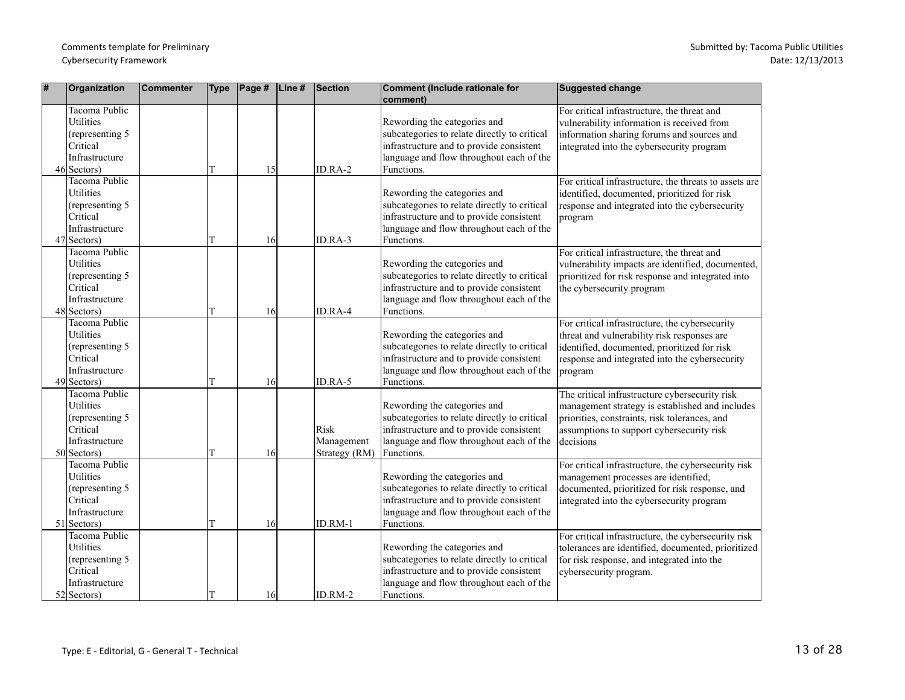| # | Organization                                                                                        | <b>Commenter</b> | <b>Type</b> | $\vert$ Page # | Line# | <b>Section</b>                      | Comment (Include rationale for<br>comment)                                                                                                                                         | <b>Suggested change</b>                                                                                                                                                                                      |
|---|-----------------------------------------------------------------------------------------------------|------------------|-------------|----------------|-------|-------------------------------------|------------------------------------------------------------------------------------------------------------------------------------------------------------------------------------|--------------------------------------------------------------------------------------------------------------------------------------------------------------------------------------------------------------|
|   | Tacoma Public<br>Utilities<br>(representing 5)<br>Critical<br>Infrastructure<br>$46$ Sectors)       |                  | T           | 15             |       | ID.RA-2                             | Rewording the categories and<br>subcategories to relate directly to critical<br>infrastructure and to provide consistent<br>language and flow throughout each of the<br>Functions. | For critical infrastructure, the threat and<br>vulnerability information is received from<br>information sharing forums and sources and<br>integrated into the cybersecurity program                         |
|   | Tacoma Public<br>Utilities<br>(representing 5)<br>Critical<br>Infrastructure<br>$47$ Sectors)       |                  |             | 16             |       | ID.RA-3                             | Rewording the categories and<br>subcategories to relate directly to critical<br>infrastructure and to provide consistent<br>language and flow throughout each of the<br>Functions. | For critical infrastructure, the threats to assets are<br>identified, documented, prioritized for risk<br>response and integrated into the cybersecurity<br>program                                          |
|   | Tacoma Public<br>Utilities<br>(representing 5<br><b>Critical</b><br>Infrastructure<br>48 Sectors)   |                  | т           | 16             |       | ID.RA-4                             | Rewording the categories and<br>subcategories to relate directly to critical<br>infrastructure and to provide consistent<br>language and flow throughout each of the<br>Functions. | For critical infrastructure, the threat and<br>vulnerability impacts are identified, documented,<br>prioritized for risk response and integrated into<br>the cybersecurity program                           |
|   | Tacoma Public<br><b>Utilities</b><br>(representing 5<br>Critical<br>Infrastructure<br>$49$ Sectors) |                  | T           | 16             |       | ID.RA-5                             | Rewording the categories and<br>subcategories to relate directly to critical<br>infrastructure and to provide consistent<br>language and flow throughout each of the<br>Functions. | For critical infrastructure, the cybersecurity<br>threat and vulnerability risk responses are<br>identified, documented, prioritized for risk<br>response and integrated into the cybersecurity<br>program   |
|   | Tacoma Public<br>Utilities<br>(representing 5)<br>Critical<br>Infrastructure<br>$50$ Sectors)       |                  |             | 16             |       | Risk<br>Management<br>Strategy (RM) | Rewording the categories and<br>subcategories to relate directly to critical<br>infrastructure and to provide consistent<br>language and flow throughout each of the<br>Functions. | The critical infrastructure cybersecurity risk<br>management strategy is established and includes<br>priorities, constraints, risk tolerances, and<br>assumptions to support cybersecurity risk<br>decisions |
|   | Tacoma Public<br>Utilities<br>(representing 5<br>Critical<br>Infrastructure<br>$51$ Sectors)        |                  | T           | 16             |       | ID.RM-1                             | Rewording the categories and<br>subcategories to relate directly to critical<br>infrastructure and to provide consistent<br>language and flow throughout each of the<br>Functions. | For critical infrastructure, the cybersecurity risk<br>management processes are identified,<br>documented, prioritized for risk response, and<br>integrated into the cybersecurity program                   |
|   | Tacoma Public<br>Utilities<br>(representing 5)<br>Critical<br>Infrastructure<br>$52$ Sectors)       |                  |             | 16             |       | ID.RM-2                             | Rewording the categories and<br>subcategories to relate directly to critical<br>infrastructure and to provide consistent<br>language and flow throughout each of the<br>Functions. | For critical infrastructure, the cybersecurity risk<br>tolerances are identified, documented, prioritized<br>for risk response, and integrated into the<br>cybersecurity program.                            |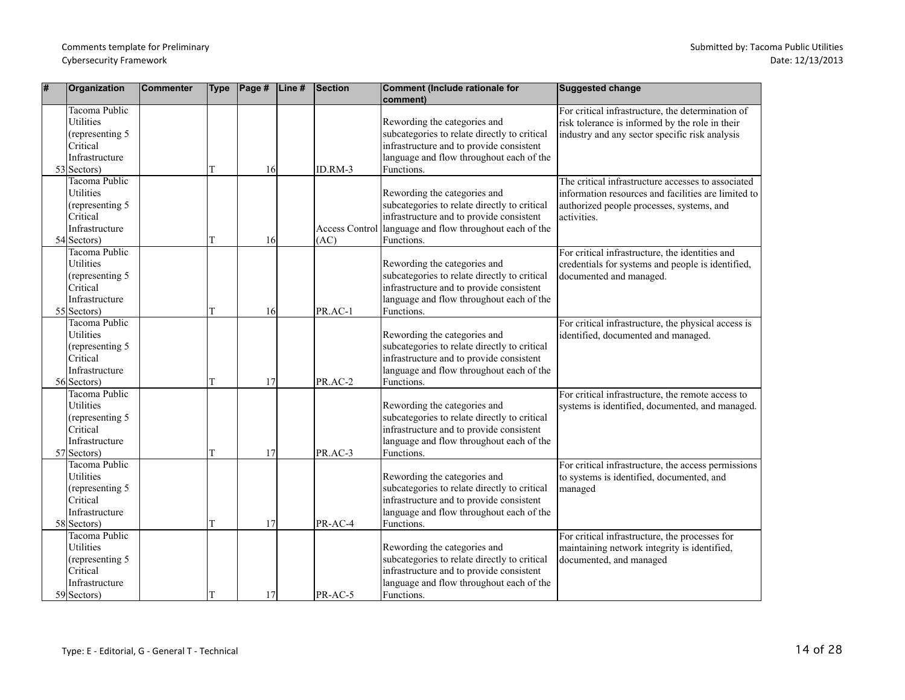| # | Organization                                                                                               | Commenter | <b>Type</b> | $\vert$ Page # | $\vert$ Line# | Section | Comment (Include rationale for<br>comment)                                                                                                                                                        | <b>Suggested change</b>                                                                                                                                               |
|---|------------------------------------------------------------------------------------------------------------|-----------|-------------|----------------|---------------|---------|---------------------------------------------------------------------------------------------------------------------------------------------------------------------------------------------------|-----------------------------------------------------------------------------------------------------------------------------------------------------------------------|
|   | Tacoma Public<br><b>Utilities</b><br>(representing 5)<br>Critical<br>Infrastructure<br>$53$ Sectors)       |           |             | 16             |               | ID.RM-3 | Rewording the categories and<br>subcategories to relate directly to critical<br>infrastructure and to provide consistent<br>language and flow throughout each of the<br>Functions.                | For critical infrastructure, the determination of<br>risk tolerance is informed by the role in their<br>industry and any sector specific risk analysis                |
|   | <b>Tacoma Public</b><br><b>Utilities</b><br>(representing 5<br>Critical<br>Infrastructure<br>$54$ Sectors) |           |             | 16             |               | (AC)    | Rewording the categories and<br>subcategories to relate directly to critical<br>infrastructure and to provide consistent<br>Access Control language and flow throughout each of the<br>Functions. | The critical infrastructure accesses to associated<br>information resources and facilities are limited to<br>authorized people processes, systems, and<br>activities. |
|   | Tacoma Public<br><b>Utilities</b><br>(representing 5<br>Critical<br>Infrastructure<br>$55$ Sectors)        |           |             | 16             |               | PR.AC-1 | Rewording the categories and<br>subcategories to relate directly to critical<br>infrastructure and to provide consistent<br>language and flow throughout each of the<br>Functions.                | For critical infrastructure, the identities and<br>credentials for systems and people is identified,<br>documented and managed.                                       |
|   | <b>Tacoma Public</b><br>Utilities<br>(representing 5<br>Critical<br>Infrastructure<br>56 Sectors)          |           | T           | 17             |               | PR.AC-2 | Rewording the categories and<br>subcategories to relate directly to critical<br>infrastructure and to provide consistent<br>language and flow throughout each of the<br>Functions.                | For critical infrastructure, the physical access is<br>identified, documented and managed.                                                                            |
|   | Tacoma Public<br>Utilities<br>(representing 5)<br>Critical<br>Infrastructure<br>$57$ Sectors)              |           |             | 17             |               | PR.AC-3 | Rewording the categories and<br>subcategories to relate directly to critical<br>infrastructure and to provide consistent<br>language and flow throughout each of the<br>Functions.                | For critical infrastructure, the remote access to<br>systems is identified, documented, and managed.                                                                  |
|   | Tacoma Public<br>Utilities<br>(representing 5<br>Critical<br>Infrastructure<br>58 Sectors)                 |           |             | 17             |               | PR-AC-4 | Rewording the categories and<br>subcategories to relate directly to critical<br>infrastructure and to provide consistent<br>language and flow throughout each of the<br>Functions.                | For critical infrastructure, the access permissions<br>to systems is identified, documented, and<br>managed                                                           |
|   | Tacoma Public<br>Utilities<br>(representing 5<br>Critical<br>Infrastructure<br>59 Sectors)                 |           | lΤ          | 17             |               | PR-AC-5 | Rewording the categories and<br>subcategories to relate directly to critical<br>infrastructure and to provide consistent<br>language and flow throughout each of the<br>Functions.                | For critical infrastructure, the processes for<br>maintaining network integrity is identified,<br>documented, and managed                                             |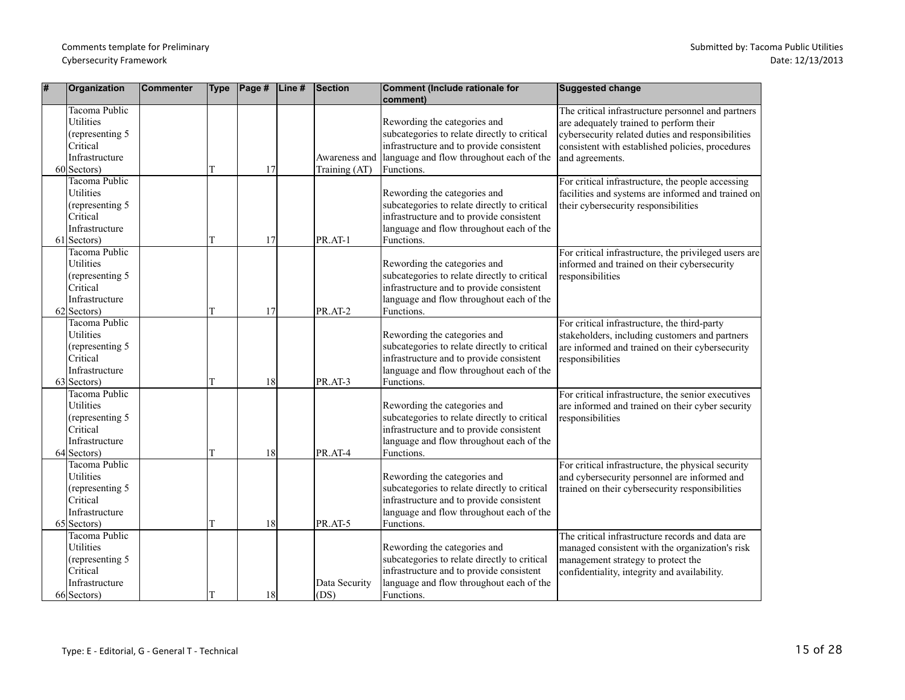| # | Organization                                                                                             | Commenter | <b>Type</b> | $\vert$ Page # | $\vert$ Line # | Section                        | Comment (Include rationale for<br>comment)                                                                                                                                         | Suggested change                                                                                                                                                                                                          |
|---|----------------------------------------------------------------------------------------------------------|-----------|-------------|----------------|----------------|--------------------------------|------------------------------------------------------------------------------------------------------------------------------------------------------------------------------------|---------------------------------------------------------------------------------------------------------------------------------------------------------------------------------------------------------------------------|
|   | <b>Tacoma Public</b><br><b>Utilities</b><br>(representing 5<br>Critical<br>Infrastructure<br>60 Sectors) |           |             | 17             |                | Awareness and<br>Training (AT) | Rewording the categories and<br>subcategories to relate directly to critical<br>infrastructure and to provide consistent<br>language and flow throughout each of the<br>Functions. | The critical infrastructure personnel and partners<br>are adequately trained to perform their<br>cybersecurity related duties and responsibilities<br>consistent with established policies, procedures<br>and agreements. |
|   | <b>Tacoma Public</b><br><b>Utilities</b><br>(representing 5<br>Critical<br>Infrastructure<br>61 Sectors) |           |             | 17             |                | PR.AT-1                        | Rewording the categories and<br>subcategories to relate directly to critical<br>infrastructure and to provide consistent<br>language and flow throughout each of the<br>Functions. | For critical infrastructure, the people accessing<br>facilities and systems are informed and trained on<br>their cybersecurity responsibilities                                                                           |
|   | Tacoma Public<br>Utilities<br>(representing 5<br><b>Critical</b><br>Infrastructure<br>$62$ Sectors)      |           |             | 17             |                | PR.AT-2                        | Rewording the categories and<br>subcategories to relate directly to critical<br>infrastructure and to provide consistent<br>language and flow throughout each of the<br>Functions. | For critical infrastructure, the privileged users are<br>informed and trained on their cybersecurity<br>responsibilities                                                                                                  |
|   | Tacoma Public<br>Utilities<br>(representing 5)<br>Critical<br>Infrastructure<br>$63$ Sectors)            |           | T           | 18             |                | PR.AT-3                        | Rewording the categories and<br>subcategories to relate directly to critical<br>infrastructure and to provide consistent<br>language and flow throughout each of the<br>Functions. | For critical infrastructure, the third-party<br>stakeholders, including customers and partners<br>are informed and trained on their cybersecurity<br>responsibilities                                                     |
|   | Tacoma Public<br><b>Utilities</b><br>(representing 5)<br>Critical<br>Infrastructure<br>64 Sectors)       |           |             | 18             |                | PR.AT-4                        | Rewording the categories and<br>subcategories to relate directly to critical<br>infrastructure and to provide consistent<br>language and flow throughout each of the<br>Functions. | For critical infrastructure, the senior executives<br>are informed and trained on their cyber security<br>responsibilities                                                                                                |
|   | Tacoma Public<br><b>Utilities</b><br>(representing 5)<br>Critical<br>Infrastructure<br>$65$ Sectors)     |           |             | 18             |                | PR.AT-5                        | Rewording the categories and<br>subcategories to relate directly to critical<br>infrastructure and to provide consistent<br>language and flow throughout each of the<br>Functions. | For critical infrastructure, the physical security<br>and cybersecurity personnel are informed and<br>trained on their cybersecurity responsibilities                                                                     |
|   | Tacoma Public<br>Utilities<br>(representing 5)<br>Critical<br>Infrastructure<br>66 Sectors)              |           |             | 18             |                | Data Security<br>(DS)          | Rewording the categories and<br>subcategories to relate directly to critical<br>infrastructure and to provide consistent<br>language and flow throughout each of the<br>Functions. | The critical infrastructure records and data are<br>managed consistent with the organization's risk<br>management strategy to protect the<br>confidentiality, integrity and availability.                                 |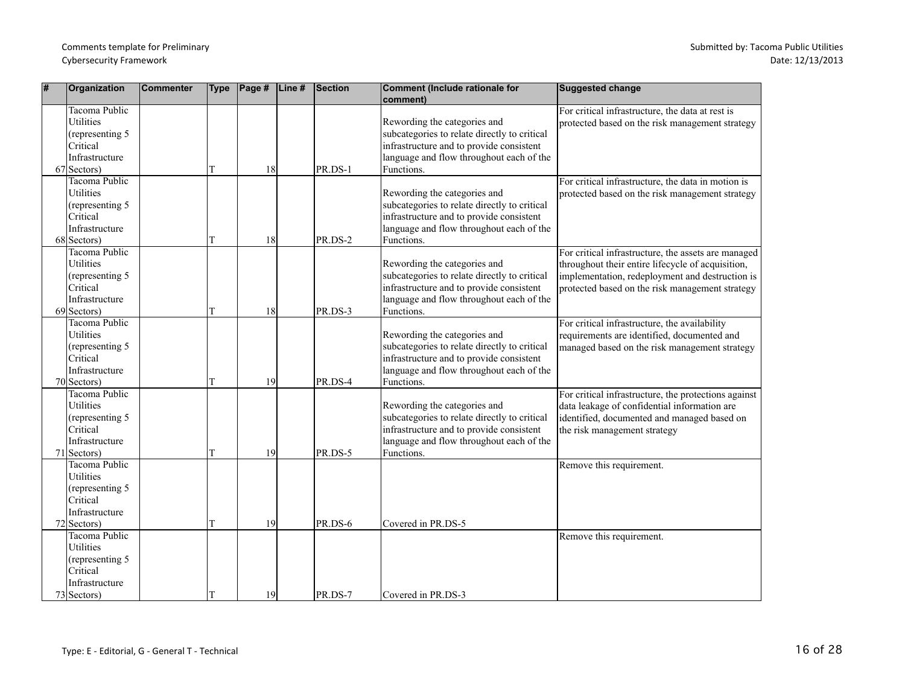| #  | Organization                                                                                               | <b>Commenter</b> | <b>Type</b> | $\vert$ Page # $\vert$ Line # | <b>Section</b> | Comment (Include rationale for<br>comment)                                                                                                                                         | <b>Suggested change</b>                                                                                                                                                                                        |
|----|------------------------------------------------------------------------------------------------------------|------------------|-------------|-------------------------------|----------------|------------------------------------------------------------------------------------------------------------------------------------------------------------------------------------|----------------------------------------------------------------------------------------------------------------------------------------------------------------------------------------------------------------|
|    | Tacoma Public<br>Utilities<br>(representing 5<br>Critical<br>Infrastructure<br>67 Sectors)                 |                  |             | 18                            | PR.DS-1        | Rewording the categories and<br>subcategories to relate directly to critical<br>infrastructure and to provide consistent<br>language and flow throughout each of the<br>Functions. | For critical infrastructure, the data at rest is<br>protected based on the risk management strategy                                                                                                            |
|    | <b>Tacoma Public</b><br><b>Utilities</b><br>(representing 5<br>Critical<br>Infrastructure<br>$68$ Sectors) |                  | T           | 18                            | PR.DS-2        | Rewording the categories and<br>subcategories to relate directly to critical<br>infrastructure and to provide consistent<br>language and flow throughout each of the<br>Functions. | For critical infrastructure, the data in motion is<br>protected based on the risk management strategy                                                                                                          |
|    | <b>Tacoma Public</b><br>Utilities<br>(representing 5<br>Critical<br>Infrastructure<br>$69$ Sectors)        |                  | T           | 18                            | PR.DS-3        | Rewording the categories and<br>subcategories to relate directly to critical<br>infrastructure and to provide consistent<br>language and flow throughout each of the<br>Functions. | For critical infrastructure, the assets are managed<br>throughout their entire lifecycle of acquisition,<br>implementation, redeployment and destruction is<br>protected based on the risk management strategy |
|    | Tacoma Public<br><b>Utilities</b><br>(representing 5<br>Critical<br>Infrastructure<br>70 Sectors)          |                  |             | 19                            | PR.DS-4        | Rewording the categories and<br>subcategories to relate directly to critical<br>infrastructure and to provide consistent<br>language and flow throughout each of the<br>Functions. | For critical infrastructure, the availability<br>requirements are identified, documented and<br>managed based on the risk management strategy                                                                  |
| 71 | <b>Tacoma Public</b><br>Utilities<br>(representing 5<br>Critical<br>Infrastructure<br>Sectors)             |                  |             | 19                            | PR.DS-5        | Rewording the categories and<br>subcategories to relate directly to critical<br>infrastructure and to provide consistent<br>language and flow throughout each of the<br>Functions. | For critical infrastructure, the protections against<br>data leakage of confidential information are<br>identified, documented and managed based on<br>the risk management strategy                            |
|    | Tacoma Public<br><b>Utilities</b><br>(representing 5)<br>Critical<br>Infrastructure<br>$72$ Sectors)       |                  |             | 19                            | PR.DS-6        | Covered in PR.DS-5                                                                                                                                                                 | Remove this requirement.                                                                                                                                                                                       |
|    | <b>Tacoma Public</b><br>Utilities<br>(representing 5<br>Critical<br>Infrastructure<br>$73$ Sectors)        |                  | lΤ          | 19                            | PR.DS-7        | Covered in PR.DS-3                                                                                                                                                                 | Remove this requirement.                                                                                                                                                                                       |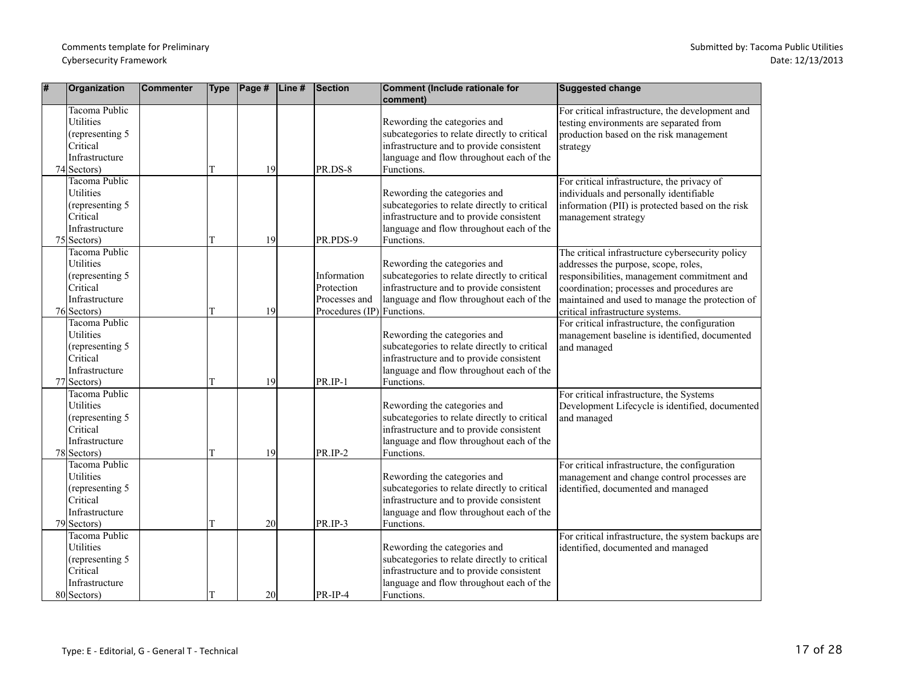| # | Organization                                                                                         | <b>Commenter</b> | <b>Type</b> | $\vert$ Page # | $\vert$ Line# | Section                                                                  | Comment (Include rationale for<br>comment)                                                                                                                                         | <b>Suggested change</b>                                                                                                                                                                                                                                                      |
|---|------------------------------------------------------------------------------------------------------|------------------|-------------|----------------|---------------|--------------------------------------------------------------------------|------------------------------------------------------------------------------------------------------------------------------------------------------------------------------------|------------------------------------------------------------------------------------------------------------------------------------------------------------------------------------------------------------------------------------------------------------------------------|
|   | Tacoma Public<br><b>Utilities</b><br>(representing 5)<br>Critical<br>Infrastructure<br>$74$ Sectors) |                  |             | 19             |               | PR.DS-8                                                                  | Rewording the categories and<br>subcategories to relate directly to critical<br>infrastructure and to provide consistent<br>language and flow throughout each of the<br>Functions. | For critical infrastructure, the development and<br>testing environments are separated from<br>production based on the risk management<br>strategy                                                                                                                           |
|   | Tacoma Public<br><b>Utilities</b><br>(representing 5)<br>Critical<br>Infrastructure<br>$75$ Sectors) |                  | T           | 19             |               | PR.PDS-9                                                                 | Rewording the categories and<br>subcategories to relate directly to critical<br>infrastructure and to provide consistent<br>language and flow throughout each of the<br>Functions. | For critical infrastructure, the privacy of<br>individuals and personally identifiable<br>information (PII) is protected based on the risk<br>management strategy                                                                                                            |
|   | <b>Tacoma Public</b><br>Utilities<br>(representing 5<br>Critical<br>Infrastructure<br>76 Sectors)    |                  |             | 19             |               | Information<br>Protection<br>Processes and<br>Procedures (IP) Functions. | Rewording the categories and<br>subcategories to relate directly to critical<br>infrastructure and to provide consistent<br>language and flow throughout each of the               | The critical infrastructure cybersecurity policy<br>addresses the purpose, scope, roles,<br>responsibilities, management commitment and<br>coordination; processes and procedures are<br>maintained and used to manage the protection of<br>critical infrastructure systems. |
|   | Tacoma Public<br>Utilities<br>(representing 5<br>Critical<br>Infrastructure<br>$77$ Sectors)         |                  | T           | 19             |               | PR.IP-1                                                                  | Rewording the categories and<br>subcategories to relate directly to critical<br>infrastructure and to provide consistent<br>language and flow throughout each of the<br>Functions. | For critical infrastructure, the configuration<br>management baseline is identified, documented<br>and managed                                                                                                                                                               |
|   | Tacoma Public<br><b>Utilities</b><br>(representing 5)<br>Critical<br>Infrastructure<br>$78$ Sectors) |                  |             | 19             |               | $PR/IP-2$                                                                | Rewording the categories and<br>subcategories to relate directly to critical<br>infrastructure and to provide consistent<br>language and flow throughout each of the<br>Functions. | For critical infrastructure, the Systems<br>Development Lifecycle is identified, documented<br>and managed                                                                                                                                                                   |
|   | Tacoma Public<br><b>Utilities</b><br>(representing 5)<br>Critical<br>Infrastructure<br>$79$ Sectors) |                  |             | 20             |               | PR.IP-3                                                                  | Rewording the categories and<br>subcategories to relate directly to critical<br>infrastructure and to provide consistent<br>language and flow throughout each of the<br>Functions. | For critical infrastructure, the configuration<br>management and change control processes are<br>identified, documented and managed                                                                                                                                          |
|   | <b>Tacoma Public</b><br>Utilities<br>(representing 5<br>Critical<br>Infrastructure<br>80 Sectors)    |                  |             | 20             |               | PR-IP-4                                                                  | Rewording the categories and<br>subcategories to relate directly to critical<br>infrastructure and to provide consistent<br>language and flow throughout each of the<br>Functions. | For critical infrastructure, the system backups are<br>identified, documented and managed                                                                                                                                                                                    |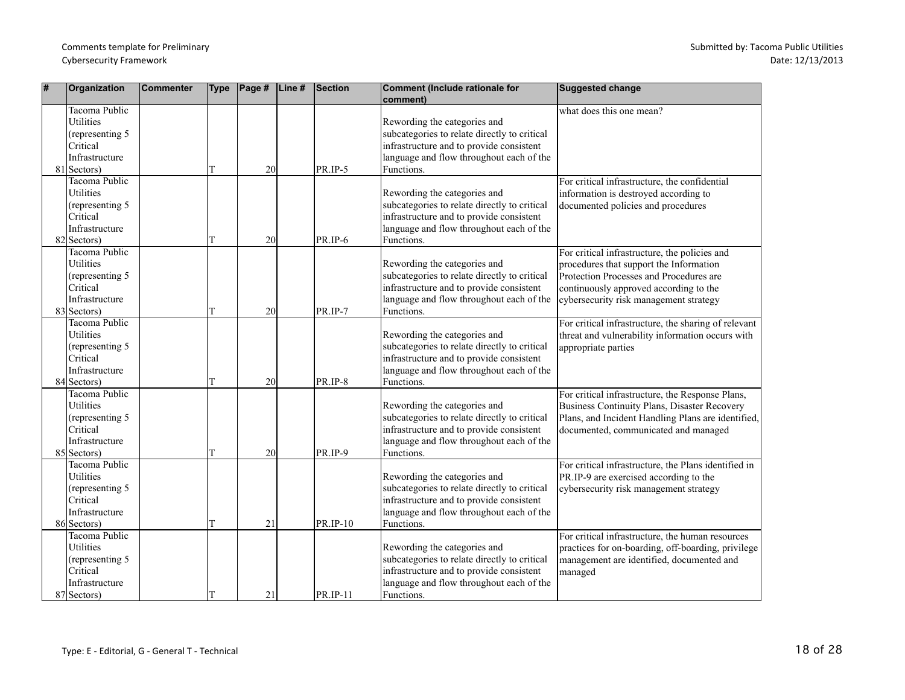| # | Organization                                                                                        | <b>Commenter</b> | <b>Type</b> | Page # $\vert$ Line # | Section  | Comment (Include rationale for<br>comment)                                                                                                                                         | <b>Suggested change</b>                                                                                                                                                                                                 |
|---|-----------------------------------------------------------------------------------------------------|------------------|-------------|-----------------------|----------|------------------------------------------------------------------------------------------------------------------------------------------------------------------------------------|-------------------------------------------------------------------------------------------------------------------------------------------------------------------------------------------------------------------------|
|   | <b>Tacoma Public</b><br>Utilities<br>(representing 5<br>Critical<br>Infrastructure<br>81 Sectors)   |                  | T           | 20                    | PR.IP-5  | Rewording the categories and<br>subcategories to relate directly to critical<br>infrastructure and to provide consistent<br>language and flow throughout each of the<br>Functions. | what does this one mean?                                                                                                                                                                                                |
|   | Tacoma Public<br><b>Utilities</b><br>(representing 5<br>Critical<br>Infrastructure<br>$82$ Sectors) |                  | T           | 20                    | PR.IP-6  | Rewording the categories and<br>subcategories to relate directly to critical<br>infrastructure and to provide consistent<br>language and flow throughout each of the<br>Functions. | For critical infrastructure, the confidential<br>information is destroyed according to<br>documented policies and procedures                                                                                            |
|   | Tacoma Public<br>Utilities<br>(representing 5<br>Critical<br>Infrastructure<br>$83$ Sectors)        |                  | T           | 20                    | PR.IP-7  | Rewording the categories and<br>subcategories to relate directly to critical<br>infrastructure and to provide consistent<br>language and flow throughout each of the<br>Functions. | For critical infrastructure, the policies and<br>procedures that support the Information<br>Protection Processes and Procedures are<br>continuously approved according to the<br>cybersecurity risk management strategy |
|   | Tacoma Public<br>Utilities<br>(representing 5<br>Critical<br>Infrastructure<br>84 Sectors)          |                  | T           | 20                    | PR.IP-8  | Rewording the categories and<br>subcategories to relate directly to critical<br>infrastructure and to provide consistent<br>language and flow throughout each of the<br>Functions. | For critical infrastructure, the sharing of relevant<br>threat and vulnerability information occurs with<br>appropriate parties                                                                                         |
|   | Tacoma Public<br>Utilities<br>(representing 5)<br>Critical<br>Infrastructure<br>85 Sectors)         |                  |             | 20                    | PR.IP-9  | Rewording the categories and<br>subcategories to relate directly to critical<br>infrastructure and to provide consistent<br>language and flow throughout each of the<br>Functions. | For critical infrastructure, the Response Plans,<br><b>Business Continuity Plans, Disaster Recovery</b><br>Plans, and Incident Handling Plans are identified,<br>documented, communicated and managed                   |
|   | Tacoma Public<br>Utilities<br>(representing 5<br>Critical<br>Infrastructure<br>86 Sectors)          |                  | T           | 21                    | PR.IP-10 | Rewording the categories and<br>subcategories to relate directly to critical<br>infrastructure and to provide consistent<br>language and flow throughout each of the<br>Functions. | For critical infrastructure, the Plans identified in<br>PR.IP-9 are exercised according to the<br>cybersecurity risk management strategy                                                                                |
|   | Tacoma Public<br>Utilities<br>(representing 5<br>Critical<br>Infrastructure<br>87 Sectors)          |                  |             | 21                    | PR.IP-11 | Rewording the categories and<br>subcategories to relate directly to critical<br>infrastructure and to provide consistent<br>language and flow throughout each of the<br>Functions. | For critical infrastructure, the human resources<br>practices for on-boarding, off-boarding, privilege<br>management are identified, documented and<br>managed                                                          |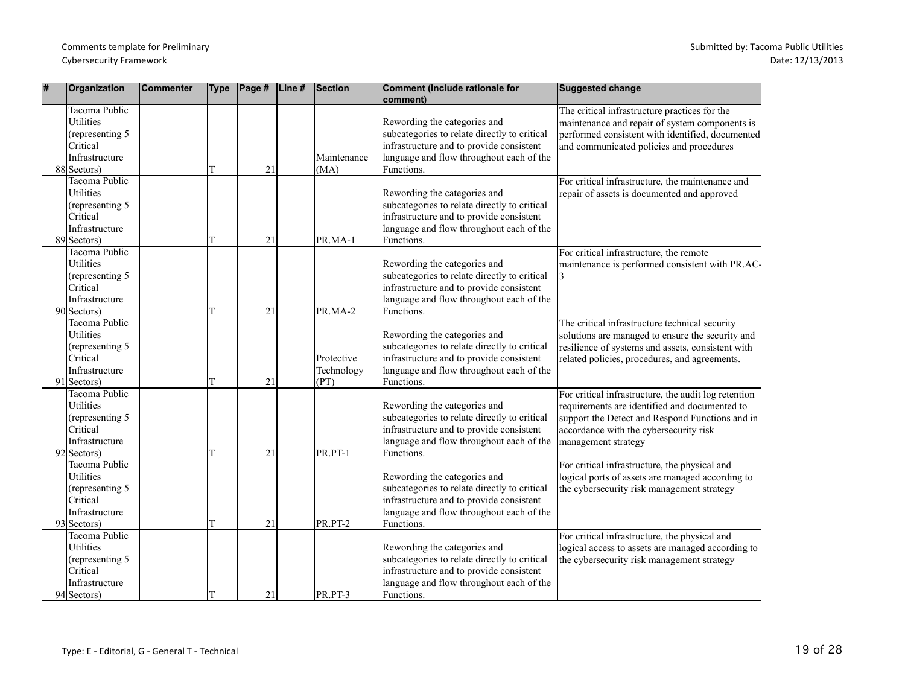| #  | Organization                                                                                              | <b>Commenter</b> | <b>Type</b> | $\vert$ Page # $\vert$ Line # | Section                          | Comment (Include rationale for<br>comment)                                                                                                                                         | <b>Suggested change</b>                                                                                                                                                                                                   |
|----|-----------------------------------------------------------------------------------------------------------|------------------|-------------|-------------------------------|----------------------------------|------------------------------------------------------------------------------------------------------------------------------------------------------------------------------------|---------------------------------------------------------------------------------------------------------------------------------------------------------------------------------------------------------------------------|
|    | Tacoma Public<br>Utilities<br>(representing 5)<br>Critical<br>Infrastructure<br>88 Sectors)               |                  | T           | 21                            | Maintenance<br>(MA)              | Rewording the categories and<br>subcategories to relate directly to critical<br>infrastructure and to provide consistent<br>language and flow throughout each of the<br>Functions. | The critical infrastructure practices for the<br>maintenance and repair of system components is<br>performed consistent with identified, documented<br>and communicated policies and procedures                           |
|    | <b>Tacoma Public</b><br><b>Utilities</b><br>(representing 5)<br>Critical<br>Infrastructure<br>89 Sectors) |                  | т           | 21                            | PR.MA-1                          | Rewording the categories and<br>subcategories to relate directly to critical<br>infrastructure and to provide consistent<br>language and flow throughout each of the<br>Functions. | For critical infrastructure, the maintenance and<br>repair of assets is documented and approved                                                                                                                           |
|    | Tacoma Public<br>Utilities<br>(representing 5<br>Critical<br>Infrastructure<br>90 Sectors)                |                  | T           | 21                            | PR.MA-2                          | Rewording the categories and<br>subcategories to relate directly to critical<br>infrastructure and to provide consistent<br>language and flow throughout each of the<br>Functions. | For critical infrastructure, the remote<br>maintenance is performed consistent with PR.AC-<br>3                                                                                                                           |
| 91 | Tacoma Public<br>Utilities<br>(representing 5<br>Critical<br>Infrastructure<br>Sectors)                   |                  |             | 21                            | Protective<br>Technology<br>(PT) | Rewording the categories and<br>subcategories to relate directly to critical<br>infrastructure and to provide consistent<br>language and flow throughout each of the<br>Functions. | The critical infrastructure technical security<br>solutions are managed to ensure the security and<br>resilience of systems and assets, consistent with<br>related policies, procedures, and agreements.                  |
|    | Tacoma Public<br>Utilities<br>(representing 5)<br>Critical<br>Infrastructure<br>$92$ Sectors)             |                  |             | 21                            | PR.PT-1                          | Rewording the categories and<br>subcategories to relate directly to critical<br>infrastructure and to provide consistent<br>language and flow throughout each of the<br>Functions. | For critical infrastructure, the audit log retention<br>requirements are identified and documented to<br>support the Detect and Respond Functions and in<br>accordance with the cybersecurity risk<br>management strategy |
|    | Tacoma Public<br>Utilities<br>(representing 5)<br>Critical<br>Infrastructure<br>$93$ Sectors)             |                  | T           | 21                            | PR.PT-2                          | Rewording the categories and<br>subcategories to relate directly to critical<br>infrastructure and to provide consistent<br>language and flow throughout each of the<br>Functions. | For critical infrastructure, the physical and<br>logical ports of assets are managed according to<br>the cybersecurity risk management strategy                                                                           |
|    | Tacoma Public<br>Utilities<br>(representing 5)<br>Critical<br>Infrastructure<br>$94$ Sectors)             |                  |             | 21                            | <b>PR.PT-3</b>                   | Rewording the categories and<br>subcategories to relate directly to critical<br>infrastructure and to provide consistent<br>language and flow throughout each of the<br>Functions. | For critical infrastructure, the physical and<br>logical access to assets are managed according to<br>the cybersecurity risk management strategy                                                                          |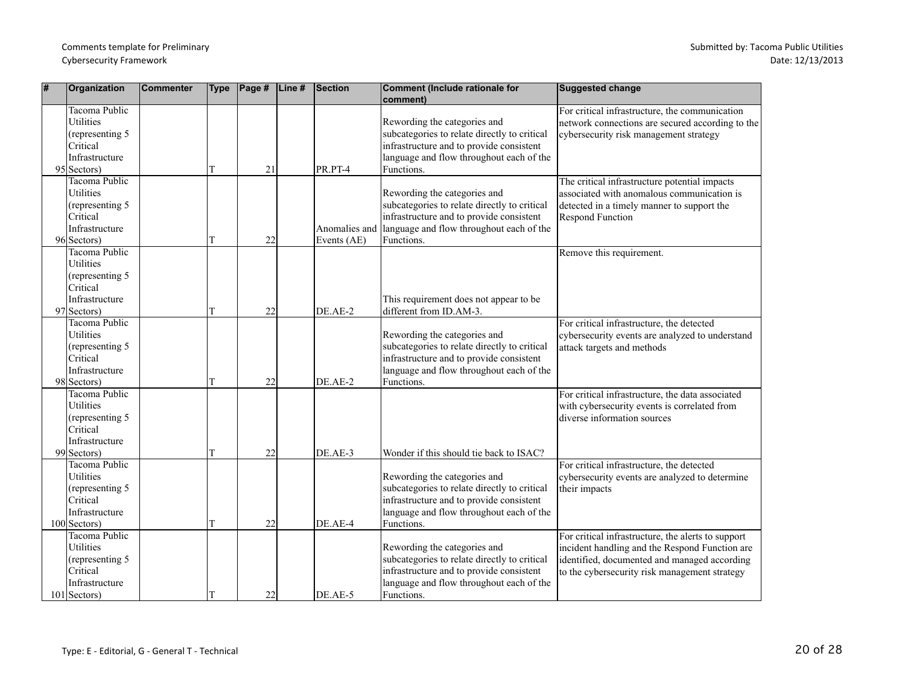| # | Organization                                                                                                | <b>Commenter</b> | <b>Type</b> | Page # | Line # | Section     | Comment (Include rationale for<br>comment)                                                                                                                                                       | <b>Suggested change</b>                                                                                                                                                                               |
|---|-------------------------------------------------------------------------------------------------------------|------------------|-------------|--------|--------|-------------|--------------------------------------------------------------------------------------------------------------------------------------------------------------------------------------------------|-------------------------------------------------------------------------------------------------------------------------------------------------------------------------------------------------------|
|   | <b>Tacoma Public</b><br><b>Utilities</b><br>(representing 5<br>Critical<br>Infrastructure<br>$95$ Sectors)  |                  | T           | 21     |        | PR.PT-4     | Rewording the categories and<br>subcategories to relate directly to critical<br>infrastructure and to provide consistent<br>language and flow throughout each of the<br>Functions.               | For critical infrastructure, the communication<br>network connections are secured according to the<br>cybersecurity risk management strategy                                                          |
|   | Tacoma Public<br>Utilities<br>(representing 5<br>Critical<br>Infrastructure<br>96 Sectors)                  |                  | T           | 22     |        | Events (AE) | Rewording the categories and<br>subcategories to relate directly to critical<br>infrastructure and to provide consistent<br>Anomalies and language and flow throughout each of the<br>Functions. | The critical infrastructure potential impacts<br>associated with anomalous communication is<br>detected in a timely manner to support the<br><b>Respond Function</b>                                  |
|   | Tacoma Public<br><b>Utilities</b><br>(representing 5<br>Critical<br>Infrastructure<br>97 Sectors)           |                  | T           | 22     |        | DE.AE-2     | This requirement does not appear to be<br>different from ID.AM-3.                                                                                                                                | Remove this requirement.                                                                                                                                                                              |
|   | Tacoma Public<br><b>Utilities</b><br>(representing 5<br>Critical<br>Infrastructure<br>98 Sectors)           |                  | T           | 22     |        | DE.AE-2     | Rewording the categories and<br>subcategories to relate directly to critical<br>infrastructure and to provide consistent<br>language and flow throughout each of the<br>Functions.               | For critical infrastructure, the detected<br>cybersecurity events are analyzed to understand<br>attack targets and methods                                                                            |
|   | Tacoma Public<br><b>Utilities</b><br>(representing 5<br>Critical<br>Infrastructure<br>99 Sectors)           |                  | T           | 22     |        | DE.AE-3     | Wonder if this should tie back to ISAC?                                                                                                                                                          | For critical infrastructure, the data associated<br>with cybersecurity events is correlated from<br>diverse information sources                                                                       |
|   | Tacoma Public<br>Utilities<br>(representing 5<br>Critical<br>Infrastructure<br>$100$ Sectors)               |                  | T           | 22     |        | DE.AE-4     | Rewording the categories and<br>subcategories to relate directly to critical<br>infrastructure and to provide consistent<br>language and flow throughout each of the<br>Functions.               | For critical infrastructure, the detected<br>cybersecurity events are analyzed to determine<br>their impacts                                                                                          |
|   | <b>Tacoma Public</b><br><b>Utilities</b><br>(representing 5<br>Critical<br>Infrastructure<br>$101$ Sectors) |                  | T           | 22     |        | DE.AE-5     | Rewording the categories and<br>subcategories to relate directly to critical<br>infrastructure and to provide consistent<br>language and flow throughout each of the<br>Functions.               | For critical infrastructure, the alerts to support<br>incident handling and the Respond Function are<br>identified, documented and managed according<br>to the cybersecurity risk management strategy |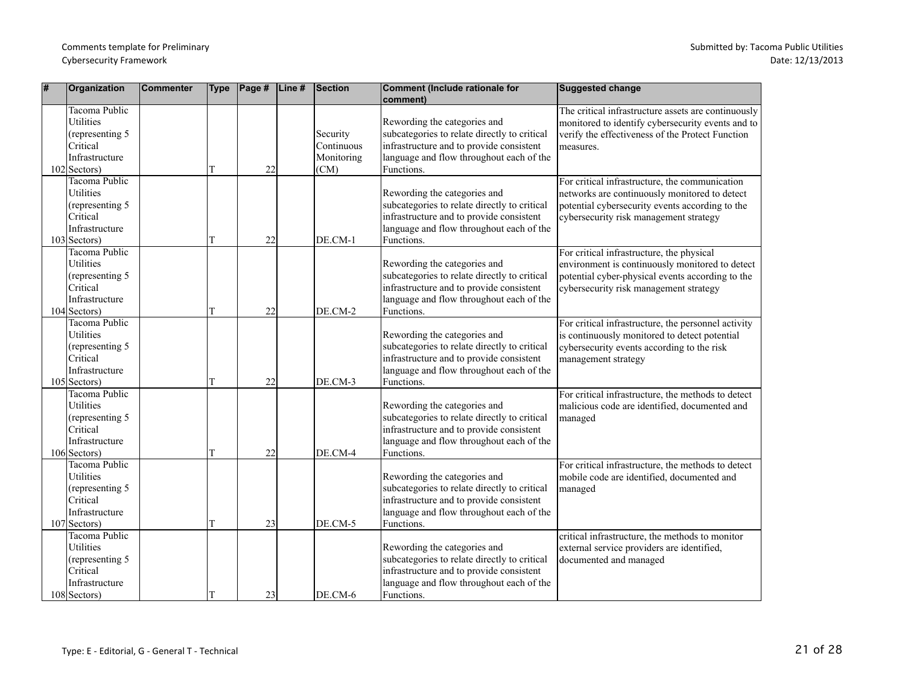| # | Organization                                                                                                | Commenter | <b>Type</b> | $\vert$ Page # | $\vert$ Line# | Section                                      | Comment (Include rationale for<br>comment)                                                                                                                                         | <b>Suggested change</b>                                                                                                                                                                      |
|---|-------------------------------------------------------------------------------------------------------------|-----------|-------------|----------------|---------------|----------------------------------------------|------------------------------------------------------------------------------------------------------------------------------------------------------------------------------------|----------------------------------------------------------------------------------------------------------------------------------------------------------------------------------------------|
|   | Tacoma Public<br><b>Utilities</b><br>(representing 5)<br>Critical<br>Infrastructure<br>$102$ Sectors)       |           |             | 22             |               | Security<br>Continuous<br>Monitoring<br>(CM) | Rewording the categories and<br>subcategories to relate directly to critical<br>infrastructure and to provide consistent<br>language and flow throughout each of the<br>Functions. | The critical infrastructure assets are continuously<br>monitored to identify cybersecurity events and to<br>verify the effectiveness of the Protect Function<br>measures.                    |
|   | <b>Tacoma Public</b><br>Utilities<br>(representing 5<br>Critical<br>Infrastructure<br>$103$ Sectors)        |           |             | 22             |               | DE.CM-1                                      | Rewording the categories and<br>subcategories to relate directly to critical<br>infrastructure and to provide consistent<br>language and flow throughout each of the<br>Functions. | For critical infrastructure, the communication<br>networks are continuously monitored to detect<br>potential cybersecurity events according to the<br>cybersecurity risk management strategy |
|   | <b>Tacoma Public</b><br>Utilities<br>(representing 5<br>Critical<br>Infrastructure<br>$104$ Sectors)        |           | T           | 22             |               | DE.CM-2                                      | Rewording the categories and<br>subcategories to relate directly to critical<br>infrastructure and to provide consistent<br>language and flow throughout each of the<br>Functions. | For critical infrastructure, the physical<br>environment is continuously monitored to detect<br>potential cyber-physical events according to the<br>cybersecurity risk management strategy   |
|   | Tacoma Public<br>Utilities<br>(representing 5<br>Critical<br>Infrastructure<br>$105$ Sectors)               |           |             | 22             |               | DE.CM-3                                      | Rewording the categories and<br>subcategories to relate directly to critical<br>infrastructure and to provide consistent<br>language and flow throughout each of the<br>Functions. | For critical infrastructure, the personnel activity<br>is continuously monitored to detect potential<br>cybersecurity events according to the risk<br>management strategy                    |
|   | <b>Tacoma Public</b><br>Utilities<br>(representing 5<br>Critical<br>Infrastructure<br>$106$ Sectors)        |           |             | 22             |               | DE.CM-4                                      | Rewording the categories and<br>subcategories to relate directly to critical<br>infrastructure and to provide consistent<br>language and flow throughout each of the<br>Functions. | For critical infrastructure, the methods to detect<br>malicious code are identified, documented and<br>managed                                                                               |
|   | Tacoma Public<br>Utilities<br>(representing 5<br>Critical<br>Infrastructure<br>$107$ Sectors)               |           | T           | 23             |               | DE.CM-5                                      | Rewording the categories and<br>subcategories to relate directly to critical<br>infrastructure and to provide consistent<br>language and flow throughout each of the<br>Functions. | For critical infrastructure, the methods to detect<br>mobile code are identified, documented and<br>managed                                                                                  |
|   | <b>Tacoma Public</b><br><b>Utilities</b><br>(representing 5<br>Critical<br>Infrastructure<br>$108$ Sectors) |           |             | 23             |               | DE.CM-6                                      | Rewording the categories and<br>subcategories to relate directly to critical<br>infrastructure and to provide consistent<br>language and flow throughout each of the<br>Functions. | critical infrastructure, the methods to monitor<br>external service providers are identified,<br>documented and managed                                                                      |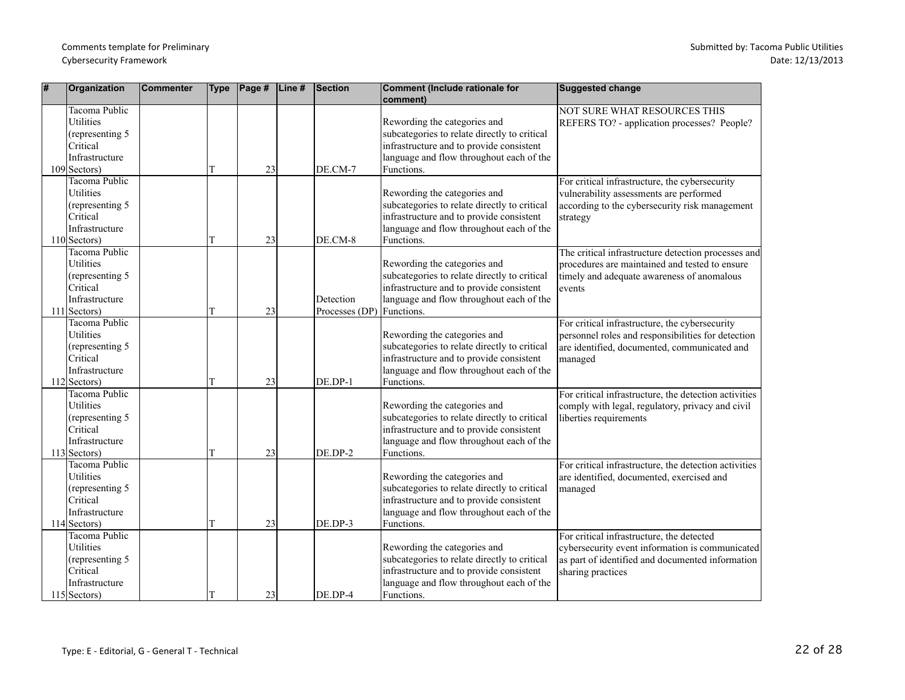| # | Organization                                                                                                | Commenter | <b>Type</b> | $\vert$ Page # | $\vert$ Line# | Section                                | Comment (Include rationale for<br>comment)                                                                                                                                         | Suggested change                                                                                                                                                      |
|---|-------------------------------------------------------------------------------------------------------------|-----------|-------------|----------------|---------------|----------------------------------------|------------------------------------------------------------------------------------------------------------------------------------------------------------------------------------|-----------------------------------------------------------------------------------------------------------------------------------------------------------------------|
|   | Tacoma Public<br><b>Utilities</b><br>(representing 5)<br>Critical<br>Infrastructure<br>$109$ Sectors)       |           | T           | 23             |               | DE.CM-7                                | Rewording the categories and<br>subcategories to relate directly to critical<br>infrastructure and to provide consistent<br>language and flow throughout each of the<br>Functions. | NOT SURE WHAT RESOURCES THIS<br>REFERS TO? - application processes? People?                                                                                           |
|   | <b>Tacoma Public</b><br>Utilities<br>(representing 5<br>Critical<br>Infrastructure<br>$110$ Sectors)        |           |             | 23             |               | DE.CM-8                                | Rewording the categories and<br>subcategories to relate directly to critical<br>infrastructure and to provide consistent<br>language and flow throughout each of the<br>Functions. | For critical infrastructure, the cybersecurity<br>vulnerability assessments are performed<br>according to the cybersecurity risk management<br>strategy               |
|   | <b>Tacoma Public</b><br>Utilities<br>(representing 5<br>Critical<br>Infrastructure<br>$111$ Sectors)        |           | T           | 23             |               | Detection<br>Processes (DP) Functions. | Rewording the categories and<br>subcategories to relate directly to critical<br>infrastructure and to provide consistent<br>language and flow throughout each of the               | The critical infrastructure detection processes and<br>procedures are maintained and tested to ensure<br>timely and adequate awareness of anomalous<br>events         |
|   | Tacoma Public<br>Utilities<br>(representing 5<br>Critical<br>Infrastructure<br>$112$ Sectors)               |           |             | 23             |               | DE.DP-1                                | Rewording the categories and<br>subcategories to relate directly to critical<br>infrastructure and to provide consistent<br>language and flow throughout each of the<br>Functions. | For critical infrastructure, the cybersecurity<br>personnel roles and responsibilities for detection<br>are identified, documented, communicated and<br>managed       |
|   | <b>Tacoma Public</b><br>Utilities<br>(representing 5<br>Critical<br>Infrastructure<br>$113$ Sectors)        |           |             | 23             |               | DE.DP-2                                | Rewording the categories and<br>subcategories to relate directly to critical<br>infrastructure and to provide consistent<br>language and flow throughout each of the<br>Functions. | For critical infrastructure, the detection activities<br>comply with legal, regulatory, privacy and civil<br>liberties requirements                                   |
|   | Tacoma Public<br>Utilities<br>(representing 5<br>Critical<br>Infrastructure<br>$114$ Sectors)               |           | T           | 23             |               | DE.DP-3                                | Rewording the categories and<br>subcategories to relate directly to critical<br>infrastructure and to provide consistent<br>language and flow throughout each of the<br>Functions. | For critical infrastructure, the detection activities<br>are identified, documented, exercised and<br>managed                                                         |
|   | <b>Tacoma Public</b><br><b>Utilities</b><br>(representing 5<br>Critical<br>Infrastructure<br>$115$ Sectors) |           |             | 23             |               | $DE.DP-4$                              | Rewording the categories and<br>subcategories to relate directly to critical<br>infrastructure and to provide consistent<br>language and flow throughout each of the<br>Functions. | For critical infrastructure, the detected<br>cybersecurity event information is communicated<br>as part of identified and documented information<br>sharing practices |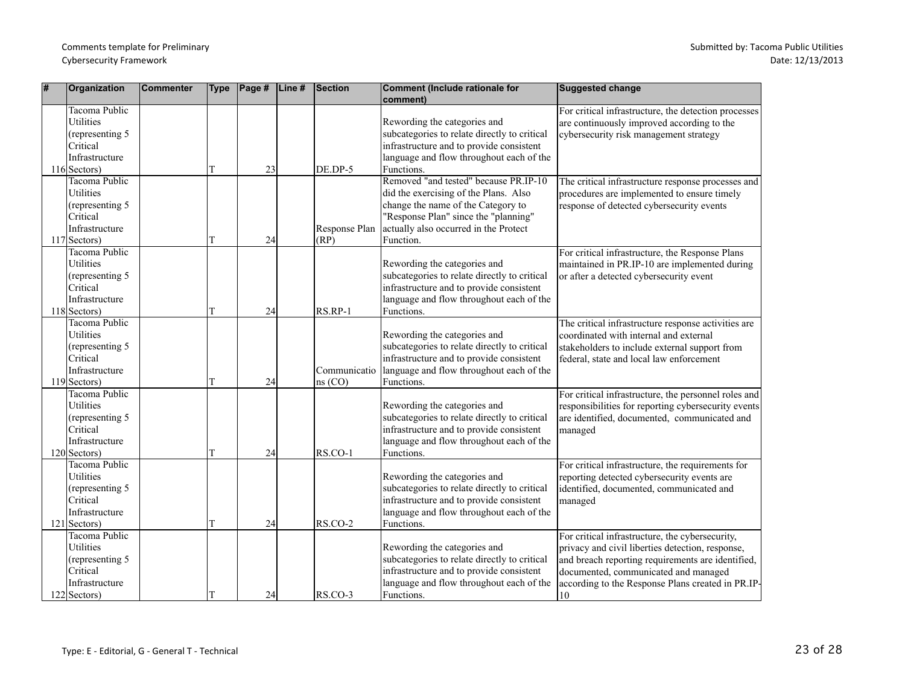| #   | Organization                                                                                              | <b>Commenter</b> | <b>Type</b> | $\vert$ Page # | Line# | <b>Section</b>         | <b>Comment (Include rationale for</b><br>comment)                                                                                                                                                                  | <b>Suggested change</b>                                                                                                                                                                                                                                     |
|-----|-----------------------------------------------------------------------------------------------------------|------------------|-------------|----------------|-------|------------------------|--------------------------------------------------------------------------------------------------------------------------------------------------------------------------------------------------------------------|-------------------------------------------------------------------------------------------------------------------------------------------------------------------------------------------------------------------------------------------------------------|
|     | Tacoma Public<br>Utilities<br>(representing 5<br>Critical<br>Infrastructure<br>$116$ Sectors)             |                  | T           | 23             |       | DE.DP-5                | Rewording the categories and<br>subcategories to relate directly to critical<br>infrastructure and to provide consistent<br>language and flow throughout each of the<br>Functions.                                 | For critical infrastructure, the detection processes<br>are continuously improved according to the<br>cybersecurity risk management strategy                                                                                                                |
|     | Tacoma Public<br>Utilities<br>(representing 5<br>Critical<br>Infrastructure<br>$117$ Sectors)             |                  | T           | 24             |       | Response Plan<br>(RP)  | Removed "and tested" because PR.IP-10<br>did the exercising of the Plans. Also<br>change the name of the Category to<br>"Response Plan" since the "planning"<br>actually also occurred in the Protect<br>Function. | The critical infrastructure response processes and<br>procedures are implemented to ensure timely<br>response of detected cybersecurity events                                                                                                              |
|     | Tacoma Public<br><b>Utilities</b><br>(representing 5<br>Critical<br>Infrastructure<br>$118$ Sectors)      |                  | T           | 24             |       | RS.RP-1                | Rewording the categories and<br>subcategories to relate directly to critical<br>infrastructure and to provide consistent<br>language and flow throughout each of the<br>Functions.                                 | For critical infrastructure, the Response Plans<br>maintained in PR.IP-10 are implemented during<br>or after a detected cybersecurity event                                                                                                                 |
|     | <b>Tacoma Public</b><br><b>Utilities</b><br>(representing 5<br>Critical<br>Infrastructure<br>119 Sectors) |                  | T           | 24             |       | Communicatio<br>ns(CO) | Rewording the categories and<br>subcategories to relate directly to critical<br>infrastructure and to provide consistent<br>language and flow throughout each of the<br>Functions.                                 | The critical infrastructure response activities are<br>coordinated with internal and external<br>stakeholders to include external support from<br>federal, state and local law enforcement                                                                  |
|     | Tacoma Public<br><b>Utilities</b><br>(representing 5<br>Critical<br>Infrastructure<br>$120$ Sectors)      |                  | T           | 24             |       | $RSCO-1$               | Rewording the categories and<br>subcategories to relate directly to critical<br>infrastructure and to provide consistent<br>language and flow throughout each of the<br>Functions.                                 | For critical infrastructure, the personnel roles and<br>responsibilities for reporting cybersecurity events<br>are identified, documented, communicated and<br>managed                                                                                      |
| 121 | Tacoma Public<br>Utilities<br>(representing 5)<br>Critical<br>Infrastructure<br>Sectors)                  |                  | T           | 24             |       | RS.CO-2                | Rewording the categories and<br>subcategories to relate directly to critical<br>infrastructure and to provide consistent<br>language and flow throughout each of the<br>Functions.                                 | For critical infrastructure, the requirements for<br>reporting detected cybersecurity events are<br>identified, documented, communicated and<br>managed                                                                                                     |
|     | Tacoma Public<br>Utilities<br>(representing 5<br>Critical<br>Infrastructure<br>$122$ Sectors)             |                  |             | 24             |       | RS.CO-3                | Rewording the categories and<br>subcategories to relate directly to critical<br>infrastructure and to provide consistent<br>language and flow throughout each of the<br>Functions.                                 | For critical infrastructure, the cybersecurity,<br>privacy and civil liberties detection, response,<br>and breach reporting requirements are identified,<br>documented, communicated and managed<br>according to the Response Plans created in PR.IP-<br>10 |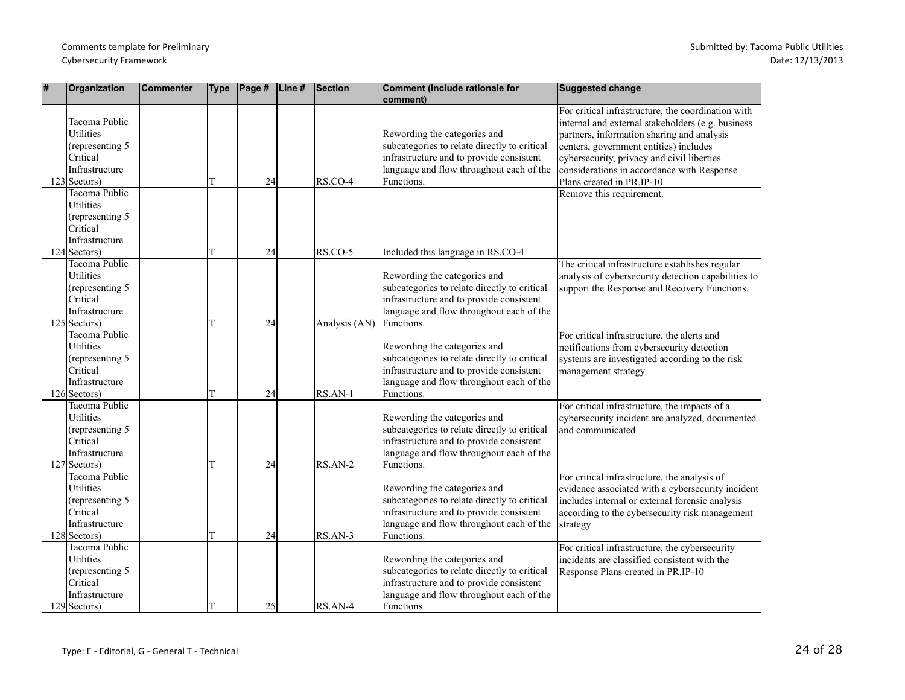| # | Organization                                                                                                           | <b>Commenter</b> | <b>Type</b> | $\vert$ Page # | Line# | <b>Section</b> | Comment (Include rationale for<br>comment)                                                                                                                                         | <b>Suggested change</b>                                                                                                                                                                                                                                                                                                  |
|---|------------------------------------------------------------------------------------------------------------------------|------------------|-------------|----------------|-------|----------------|------------------------------------------------------------------------------------------------------------------------------------------------------------------------------------|--------------------------------------------------------------------------------------------------------------------------------------------------------------------------------------------------------------------------------------------------------------------------------------------------------------------------|
|   | Tacoma Public<br>Utilities<br>(representing 5)<br><b>Critical</b><br>Infrastructure<br>$123$ Sectors)<br>Tacoma Public |                  |             | 24             |       | RS.CO-4        | Rewording the categories and<br>subcategories to relate directly to critical<br>infrastructure and to provide consistent<br>language and flow throughout each of the<br>Functions. | For critical infrastructure, the coordination with<br>internal and external stakeholders (e.g. business<br>partners, information sharing and analysis<br>centers, government entities) includes<br>cybersecurity, privacy and civil liberties<br>considerations in accordance with Response<br>Plans created in PR.IP-10 |
|   | Utilities<br>(representing 5<br>Critical<br>Infrastructure<br>$124$ Sectors)                                           |                  | T           | 24             |       | RS.CO-5        | Included this language in RS.CO-4                                                                                                                                                  | Remove this requirement.                                                                                                                                                                                                                                                                                                 |
|   | Tacoma Public<br>Utilities<br>(representing 5)<br>Critical<br>Infrastructure<br>$125$ Sectors)                         |                  | T           | 24             |       | Analysis (AN)  | Rewording the categories and<br>subcategories to relate directly to critical<br>infrastructure and to provide consistent<br>language and flow throughout each of the<br>Functions. | The critical infrastructure establishes regular<br>analysis of cybersecurity detection capabilities to<br>support the Response and Recovery Functions.                                                                                                                                                                   |
|   | Tacoma Public<br>Utilities<br>(representing 5)<br>Critical<br>Infrastructure<br>$126$ Sectors)                         |                  | T           | 24             |       | RS.AN-1        | Rewording the categories and<br>subcategories to relate directly to critical<br>infrastructure and to provide consistent<br>language and flow throughout each of the<br>Functions. | For critical infrastructure, the alerts and<br>notifications from cybersecurity detection<br>systems are investigated according to the risk<br>management strategy                                                                                                                                                       |
|   | Tacoma Public<br><b>Utilities</b><br>(representing 5)<br>Critical<br>Infrastructure<br>$127$ Sectors)                  |                  | T           | 24             |       | RS.AN-2        | Rewording the categories and<br>subcategories to relate directly to critical<br>infrastructure and to provide consistent<br>language and flow throughout each of the<br>Functions. | For critical infrastructure, the impacts of a<br>cybersecurity incident are analyzed, documented<br>and communicated                                                                                                                                                                                                     |
|   | Tacoma Public<br>Utilities<br>(representing 5<br>Critical<br>Infrastructure<br>$128$ Sectors)                          |                  |             | 24             |       | RS.AN-3        | Rewording the categories and<br>subcategories to relate directly to critical<br>infrastructure and to provide consistent<br>language and flow throughout each of the<br>Functions. | For critical infrastructure, the analysis of<br>evidence associated with a cybersecurity incident<br>includes internal or external forensic analysis<br>according to the cybersecurity risk management<br>strategy                                                                                                       |
|   | Tacoma Public<br>Utilities<br>(representing 5<br>Critical<br>Infrastructure<br>$129$ Sectors)                          |                  | IТ          | 25             |       | $RSAN-4$       | Rewording the categories and<br>subcategories to relate directly to critical<br>infrastructure and to provide consistent<br>language and flow throughout each of the<br>Functions. | For critical infrastructure, the cybersecurity<br>incidents are classified consistent with the<br>Response Plans created in PR.IP-10                                                                                                                                                                                     |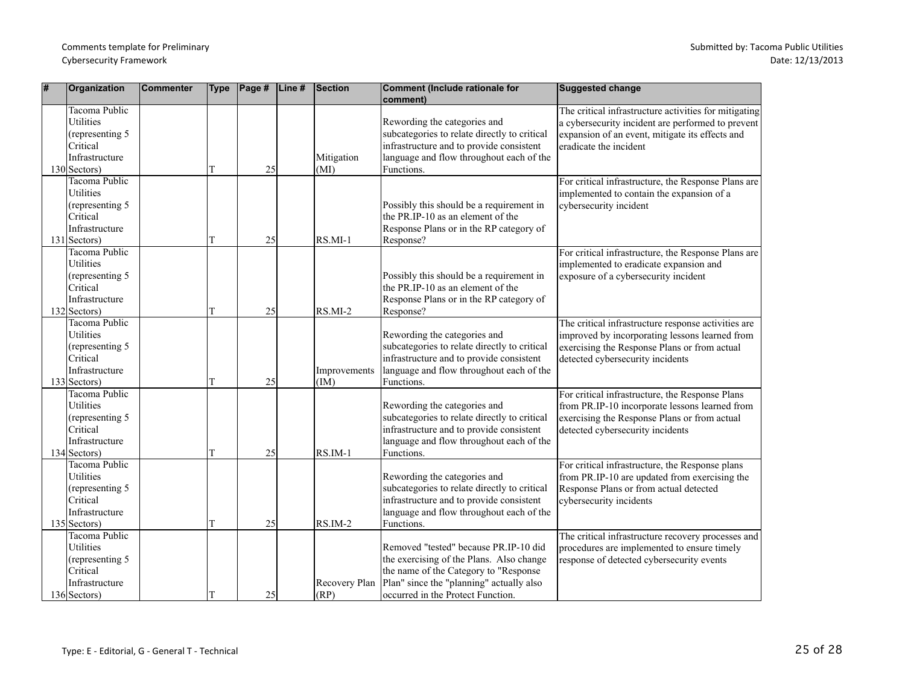| # | Organization                                                                                                | Commenter | <b>Type</b> | $\vert$ Page # | $\vert$ Line# | Section               | Comment (Include rationale for<br>comment)                                                                                                                                                                   | <b>Suggested change</b>                                                                                                                                                                   |
|---|-------------------------------------------------------------------------------------------------------------|-----------|-------------|----------------|---------------|-----------------------|--------------------------------------------------------------------------------------------------------------------------------------------------------------------------------------------------------------|-------------------------------------------------------------------------------------------------------------------------------------------------------------------------------------------|
|   | Tacoma Public<br>Utilities<br>(representing 5)<br>Critical<br>Infrastructure<br>$130$ Sectors)              |           |             | 25             |               | Mitigation<br>(MI)    | Rewording the categories and<br>subcategories to relate directly to critical<br>infrastructure and to provide consistent<br>language and flow throughout each of the<br>Functions.                           | The critical infrastructure activities for mitigating<br>a cybersecurity incident are performed to prevent<br>expansion of an event, mitigate its effects and<br>eradicate the incident   |
|   | Tacoma Public<br>Utilities<br>(representing 5<br>Critical<br>Infrastructure<br>$131$ Sectors)               |           |             | 25             |               | $RS.MI-1$             | Possibly this should be a requirement in<br>the PR.IP-10 as an element of the<br>Response Plans or in the RP category of<br>Response?                                                                        | For critical infrastructure, the Response Plans are<br>implemented to contain the expansion of a<br>cybersecurity incident                                                                |
|   | Tacoma Public<br><b>Utilities</b><br>(representing 5<br>Critical<br>Infrastructure<br>$132$ Sectors)        |           |             | 25             |               | $RS.MI-2$             | Possibly this should be a requirement in<br>the PR.IP-10 as an element of the<br>Response Plans or in the RP category of<br>Response?                                                                        | For critical infrastructure, the Response Plans are<br>implemented to eradicate expansion and<br>exposure of a cybersecurity incident                                                     |
|   | <b>Tacoma Public</b><br><b>Utilities</b><br>(representing 5<br>Critical<br>Infrastructure<br>$133$ Sectors) |           | T           | 25             |               | Improvements<br>(IM)  | Rewording the categories and<br>subcategories to relate directly to critical<br>infrastructure and to provide consistent<br>language and flow throughout each of the<br>Functions.                           | The critical infrastructure response activities are<br>improved by incorporating lessons learned from<br>exercising the Response Plans or from actual<br>detected cybersecurity incidents |
|   | Tacoma Public<br>Utilities<br>(representing 5)<br>Critical<br>Infrastructure<br>$134$ Sectors)              |           |             | 25             |               | $RSIM-1$              | Rewording the categories and<br>subcategories to relate directly to critical<br>infrastructure and to provide consistent<br>language and flow throughout each of the<br>Functions.                           | For critical infrastructure, the Response Plans<br>from PR.IP-10 incorporate lessons learned from<br>exercising the Response Plans or from actual<br>detected cybersecurity incidents     |
|   | Tacoma Public<br>Utilities<br>(representing 5)<br>Critical<br>Infrastructure<br>$135$ Sectors)              |           | T           | 25             |               | $RS.IM-2$             | Rewording the categories and<br>subcategories to relate directly to critical<br>infrastructure and to provide consistent<br>language and flow throughout each of the<br>Functions.                           | For critical infrastructure, the Response plans<br>from PR.IP-10 are updated from exercising the<br>Response Plans or from actual detected<br>cybersecurity incidents                     |
|   | Tacoma Public<br><b>Utilities</b><br>(representing 5<br>Critical<br>Infrastructure<br>$136$ Sectors)        |           |             | 25             |               | Recovery Plan<br>(RP) | Removed "tested" because PR.IP-10 did<br>the exercising of the Plans. Also change<br>the name of the Category to "Response"<br>Plan" since the "planning" actually also<br>occurred in the Protect Function. | The critical infrastructure recovery processes and<br>procedures are implemented to ensure timely<br>response of detected cybersecurity events                                            |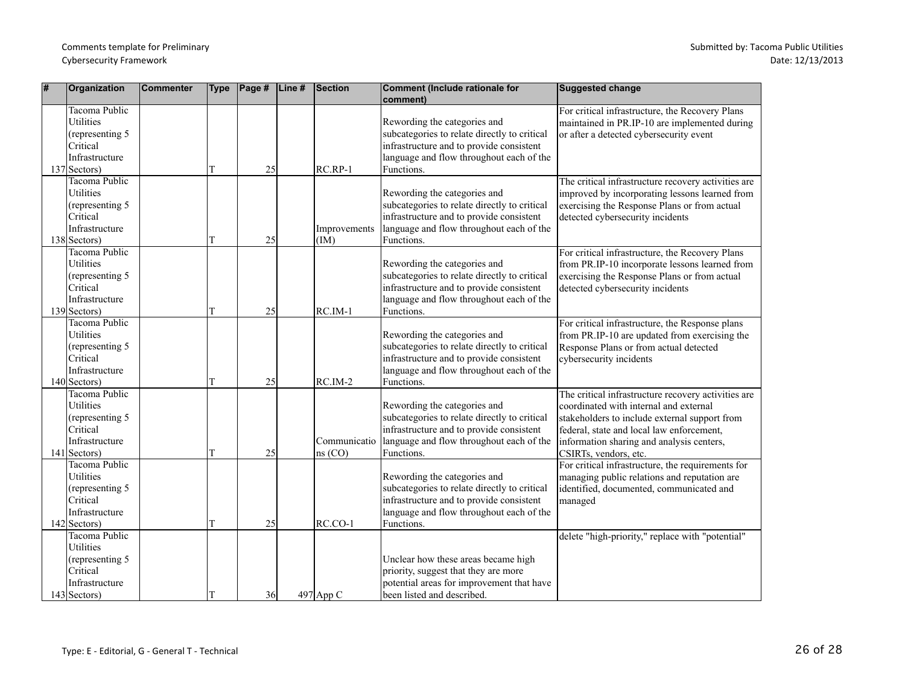| # | Organization                                                                                                | <b>Commenter</b> | <b>Type</b> | Page # | Line# | Section                 | Comment (Include rationale for<br>comment)                                                                                                                                         | <b>Suggested change</b>                                                                                                                                                                                                                                           |
|---|-------------------------------------------------------------------------------------------------------------|------------------|-------------|--------|-------|-------------------------|------------------------------------------------------------------------------------------------------------------------------------------------------------------------------------|-------------------------------------------------------------------------------------------------------------------------------------------------------------------------------------------------------------------------------------------------------------------|
|   | <b>Tacoma Public</b><br><b>Utilities</b><br>(representing 5<br>Critical<br>Infrastructure<br>$137$ Sectors) |                  | T           | 25     |       | RC.RP-1                 | Rewording the categories and<br>subcategories to relate directly to critical<br>infrastructure and to provide consistent<br>language and flow throughout each of the<br>Functions. | For critical infrastructure, the Recovery Plans<br>maintained in PR.IP-10 are implemented during<br>or after a detected cybersecurity event                                                                                                                       |
|   | Tacoma Public<br>Utilities<br>(representing 5<br>Critical<br>Infrastructure<br>138 Sectors)                 |                  | T           | 25     |       | Improvements<br>(IM)    | Rewording the categories and<br>subcategories to relate directly to critical<br>infrastructure and to provide consistent<br>language and flow throughout each of the<br>Functions. | The critical infrastructure recovery activities are<br>improved by incorporating lessons learned from<br>exercising the Response Plans or from actual<br>detected cybersecurity incidents                                                                         |
|   | Tacoma Public<br>Utilities<br>(representing 5)<br>Critical<br>Infrastructure<br>139 Sectors)                |                  | T           | 25     |       | $RCIM-1$                | Rewording the categories and<br>subcategories to relate directly to critical<br>infrastructure and to provide consistent<br>language and flow throughout each of the<br>Functions. | For critical infrastructure, the Recovery Plans<br>from PR.IP-10 incorporate lessons learned from<br>exercising the Response Plans or from actual<br>detected cybersecurity incidents                                                                             |
|   | <b>Tacoma Public</b><br>Utilities<br>(representing 5<br>Critical<br>Infrastructure<br>$140$ Sectors)        |                  | T           | 25     |       | $RCIM-2$                | Rewording the categories and<br>subcategories to relate directly to critical<br>infrastructure and to provide consistent<br>language and flow throughout each of the<br>Functions. | For critical infrastructure, the Response plans<br>from PR.IP-10 are updated from exercising the<br>Response Plans or from actual detected<br>cybersecurity incidents                                                                                             |
|   | Tacoma Public<br><b>Utilities</b><br>(representing 5<br>Critical<br>Infrastructure<br>$141$ Sectors)        |                  | т           | 25     |       | Communicatio<br>ns (CO) | Rewording the categories and<br>subcategories to relate directly to critical<br>infrastructure and to provide consistent<br>language and flow throughout each of the<br>Functions. | The critical infrastructure recovery activities are<br>coordinated with internal and external<br>stakeholders to include external support from<br>federal, state and local law enforcement,<br>information sharing and analysis centers,<br>CSIRTs, vendors, etc. |
|   | Tacoma Public<br>Utilities<br>(representing 5)<br>Critical<br>Infrastructure<br>142 Sectors)                |                  | T           | 25     |       | $RCCO-1$                | Rewording the categories and<br>subcategories to relate directly to critical<br>infrastructure and to provide consistent<br>language and flow throughout each of the<br>Functions. | For critical infrastructure, the requirements for<br>managing public relations and reputation are<br>identified, documented, communicated and<br>managed                                                                                                          |
|   | Tacoma Public<br>Utilities<br>(representing 5<br>Critical<br>Infrastructure<br>$143$ Sectors)               |                  | T           | 36     |       | $497$ App C             | Unclear how these areas became high<br>priority, suggest that they are more<br>potential areas for improvement that have<br>been listed and described.                             | delete "high-priority," replace with "potential"                                                                                                                                                                                                                  |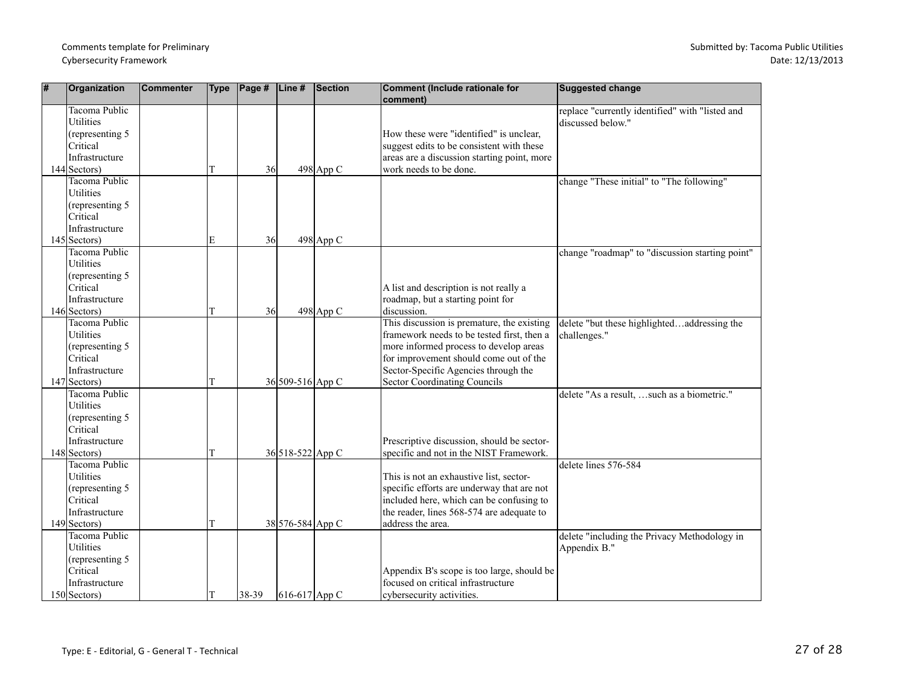| # | Organization                             | Commenter | <b>Type</b> | $\vert$ Page # $\vert$ Line # |                  | Section     | Comment (Include rationale for<br>comment)  | <b>Suggested change</b>                         |
|---|------------------------------------------|-----------|-------------|-------------------------------|------------------|-------------|---------------------------------------------|-------------------------------------------------|
|   | Tacoma Public                            |           |             |                               |                  |             |                                             | replace "currently identified" with "listed and |
|   | <b>Utilities</b>                         |           |             |                               |                  |             |                                             | discussed below."                               |
|   | (representing 5                          |           |             |                               |                  |             | How these were "identified" is unclear,     |                                                 |
|   | Critical                                 |           |             |                               |                  |             | suggest edits to be consistent with these   |                                                 |
|   | Infrastructure                           |           |             |                               |                  |             | areas are a discussion starting point, more |                                                 |
|   | $144$ Sectors)                           |           | T           | 36                            |                  | $498$ App C | work needs to be done.                      |                                                 |
|   | <b>Tacoma Public</b><br><b>Utilities</b> |           |             |                               |                  |             |                                             | change "These initial" to "The following"       |
|   |                                          |           |             |                               |                  |             |                                             |                                                 |
|   | (representing 5<br>Critical              |           |             |                               |                  |             |                                             |                                                 |
|   | Infrastructure                           |           |             |                               |                  |             |                                             |                                                 |
|   | $145$ Sectors)                           |           | E           | 36                            |                  | $498$ App C |                                             |                                                 |
|   | Tacoma Public                            |           |             |                               |                  |             |                                             | change "roadmap" to "discussion starting point" |
|   | Utilities                                |           |             |                               |                  |             |                                             |                                                 |
|   | (representing 5                          |           |             |                               |                  |             |                                             |                                                 |
|   | Critical                                 |           |             |                               |                  |             | A list and description is not really a      |                                                 |
|   | Infrastructure                           |           |             |                               |                  |             | roadmap, but a starting point for           |                                                 |
|   | $146$ Sectors)                           |           | T           | 36                            |                  | $498$ App C | discussion.                                 |                                                 |
|   | Tacoma Public                            |           |             |                               |                  |             | This discussion is premature, the existing  | delete "but these highlightedaddressing the     |
|   | Utilities                                |           |             |                               |                  |             | framework needs to be tested first, then a  | challenges."                                    |
|   | (representing 5                          |           |             |                               |                  |             | more informed process to develop areas      |                                                 |
|   | Critical                                 |           |             |                               |                  |             | for improvement should come out of the      |                                                 |
|   | Infrastructure                           |           |             |                               |                  |             | Sector-Specific Agencies through the        |                                                 |
|   | $147$ Sectors)                           |           | T           |                               | 36 509-516 App C |             | <b>Sector Coordinating Councils</b>         |                                                 |
|   | Tacoma Public                            |           |             |                               |                  |             |                                             | delete "As a result, such as a biometric."      |
|   | Utilities                                |           |             |                               |                  |             |                                             |                                                 |
|   | (representing 5)                         |           |             |                               |                  |             |                                             |                                                 |
|   | Critical                                 |           |             |                               |                  |             |                                             |                                                 |
|   | Infrastructure                           |           |             |                               |                  |             | Prescriptive discussion, should be sector-  |                                                 |
|   | $148$ Sectors)<br>Tacoma Public          |           | T           |                               | 36 518-522 App C |             | specific and not in the NIST Framework.     |                                                 |
|   | <b>Utilities</b>                         |           |             |                               |                  |             | This is not an exhaustive list, sector-     | delete lines 576-584                            |
|   | (representing 5                          |           |             |                               |                  |             | specific efforts are underway that are not  |                                                 |
|   | Critical                                 |           |             |                               |                  |             | included here, which can be confusing to    |                                                 |
|   | Infrastructure                           |           |             |                               |                  |             | the reader, lines 568-574 are adequate to   |                                                 |
|   | 149 Sectors)                             |           | T           |                               | 38 576-584 App C |             | address the area.                           |                                                 |
|   | Tacoma Public                            |           |             |                               |                  |             |                                             | delete "including the Privacy Methodology in    |
|   | Utilities                                |           |             |                               |                  |             |                                             | Appendix B."                                    |
|   | (representing 5                          |           |             |                               |                  |             |                                             |                                                 |
|   | Critical                                 |           |             |                               |                  |             | Appendix B's scope is too large, should be  |                                                 |
|   | Infrastructure                           |           |             |                               |                  |             | focused on critical infrastructure          |                                                 |
|   | $150$ Sectors)                           |           | T           | $ 38-39 $                     | 616-617 App C    |             | cybersecurity activities.                   |                                                 |